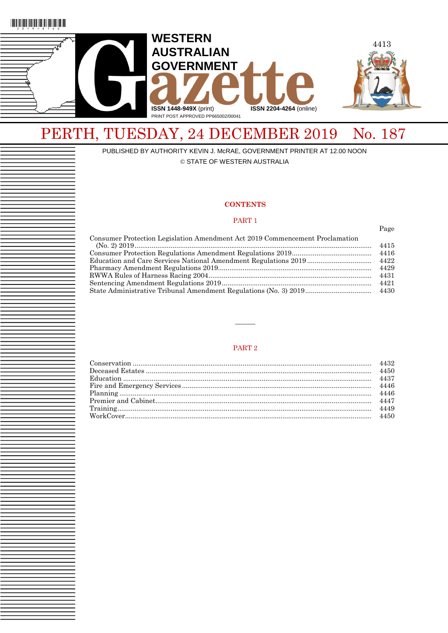



# PERTH, TUESDAY, 24 DECEMBER 2019 No. 187

PUBLISHED BY AUTHORITY KEVIN J. McRAE, GOVERNMENT PRINTER AT 12.00 NOON © STATE OF WESTERN AUSTRALIA

### **CONTENTS**

### PART 1

Page

| Consumer Protection Legislation Amendment Act 2019 Commencement Proclamation |      |
|------------------------------------------------------------------------------|------|
|                                                                              | 4415 |
|                                                                              | 4416 |
|                                                                              |      |
|                                                                              | 4429 |
|                                                                              | 4431 |
|                                                                              | 4421 |
|                                                                              |      |
|                                                                              |      |

### PART 2

———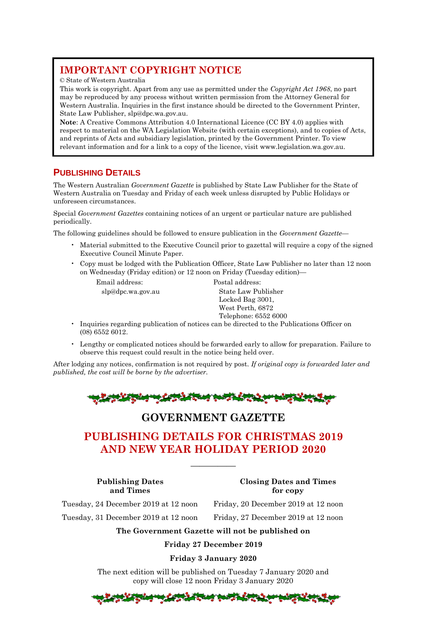# **IMPORTANT COPYRIGHT NOTICE**

© State of Western Australia

This work is copyright. Apart from any use as permitted under the *Copyright Act 1968*, no part may be reproduced by any process without written permission from the Attorney General for Western Australia. Inquiries in the first instance should be directed to the Government Printer, State Law Publisher, [slp@dpc.wa.gov.au.](mailto:slp@dpc.wa.gov.au)

**Note**: A Creative Commons Attribution 4.0 International Licence (CC BY 4.0) applies with respect to material on the WA Legislation Website (with certain exceptions), and to copies of Acts, and reprints of Acts and subsidiary legislation, printed by the Government Printer. To view relevant information and for a link to a copy of the licence, visit www.legislation.wa.gov.au.

# **PUBLISHING DETAILS**

The Western Australian *Government Gazette* is published by State Law Publisher for the State of Western Australia on Tuesday and Friday of each week unless disrupted by Public Holidays or unforeseen circumstances.

Special *Government Gazettes* containing notices of an urgent or particular nature are published periodically.

The following guidelines should be followed to ensure publication in the *Government Gazette*—

- Material submitted to the Executive Council prior to gazettal will require a copy of the signed Executive Council Minute Paper.
- Copy must be lodged with the Publication Officer, State Law Publisher no later than 12 noon on Wednesday (Friday edition) or 12 noon on Friday (Tuesday edition)—

Email address: Postal address:

 slp@dpc.wa.gov.au State Law Publisher Locked Bag 3001, West Perth, 6872 Telephone: 6552 6000

- Inquiries regarding publication of notices can be directed to the Publications Officer on (08) 6552 6012.
- Lengthy or complicated notices should be forwarded early to allow for preparation. Failure to observe this request could result in the notice being held over.

After lodging any notices, confirmation is not required by post. *If original copy is forwarded later and published, the cost will be borne by the advertiser.*

$$
\\
$$

# **GOVERNMENT GAZETTE**

# **PUBLISHING DETAILS FOR CHRISTMAS 2019 AND NEW YEAR HOLIDAY PERIOD 2020**

—————

**Publishing Dates Closing Dates and Times and Times for copy**

Tuesday, 24 December 2019 at 12 noon Friday, 20 December 2019 at 12 noon

Tuesday, 31 December 2019 at 12 noon Friday, 27 December 2019 at 12 noon

**The Government Gazette will not be published on**

**Friday 27 December 2019**

## **Friday 3 January 2020**

The next edition will be published on Tuesday 7 January 2020 and copy will close 12 noon Friday 3 January 2020

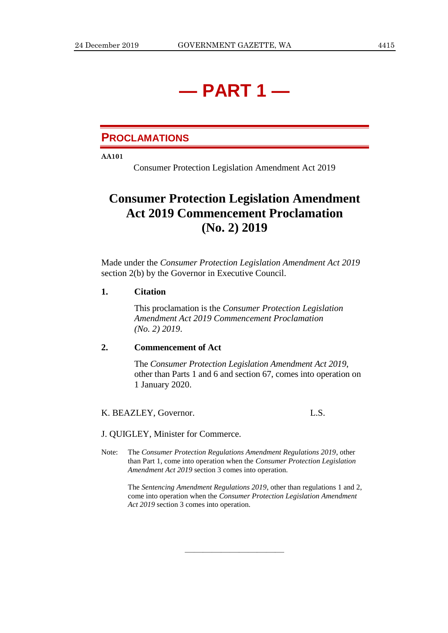# **— PART 1 —**

# **PROCLAMATIONS**

**AA101**

Consumer Protection Legislation Amendment Act 2019

# **Consumer Protection Legislation Amendment Act 2019 Commencement Proclamation (No. 2) 2019**

Made under the *Consumer Protection Legislation Amendment Act 2019* section 2(b) by the Governor in Executive Council.

# **1. Citation**

This proclamation is the *Consumer Protection Legislation Amendment Act 2019 Commencement Proclamation (No. 2) 2019*.

# **2. Commencement of Act**

The *Consumer Protection Legislation Amendment Act 2019*, other than Parts 1 and 6 and section 67, comes into operation on 1 January 2020.

K. BEAZLEY, Governor. L.S.

J. QUIGLEY, Minister for Commerce.

Note: The *Consumer Protection Regulations Amendment Regulations 2019*, other than Part 1, come into operation when the *Consumer Protection Legislation Amendment Act 2019* section 3 comes into operation.

> The *Sentencing Amendment Regulations 2019*, other than regulations 1 and 2, come into operation when the *Consumer Protection Legislation Amendment Act 2019* section 3 comes into operation.

> > ———————————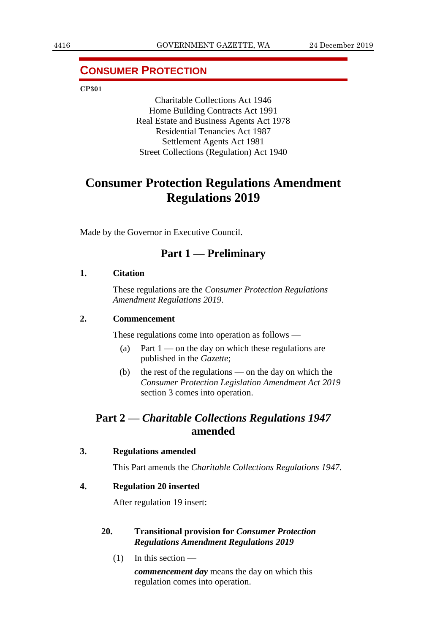# **CONSUMER PROTECTION**

**CP301**

Charitable Collections Act 1946 Home Building Contracts Act 1991 Real Estate and Business Agents Act 1978 Residential Tenancies Act 1987 Settlement Agents Act 1981 Street Collections (Regulation) Act 1940

# **Consumer Protection Regulations Amendment Regulations 2019**

Made by the Governor in Executive Council.

# **Part 1 — Preliminary**

## **1. Citation**

These regulations are the *Consumer Protection Regulations Amendment Regulations 2019*.

# **2. Commencement**

These regulations come into operation as follows —

- (a) Part  $1$  on the day on which these regulations are published in the *Gazette*;
- (b) the rest of the regulations on the day on which the *Consumer Protection Legislation Amendment Act 2019* section 3 comes into operation.

# **Part 2 —** *Charitable Collections Regulations 1947* **amended**

## **3. Regulations amended**

This Part amends the *Charitable Collections Regulations 1947*.

## **4. Regulation 20 inserted**

After regulation 19 insert:

# **20. Transitional provision for** *Consumer Protection Regulations Amendment Regulations 2019*

(1) In this section —

*commencement day* means the day on which this regulation comes into operation.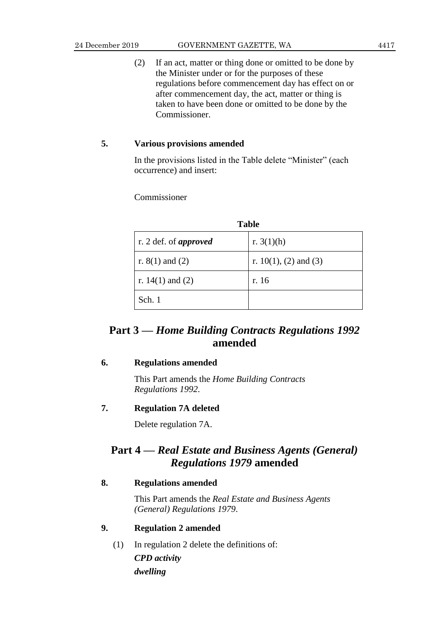(2) If an act, matter or thing done or omitted to be done by the Minister under or for the purposes of these regulations before commencement day has effect on or after commencement day, the act, matter or thing is taken to have been done or omitted to be done by the Commissioner.

# **5. Various provisions amended**

In the provisions listed in the Table delete "Minister" (each occurrence) and insert:

Commissioner

| <b>Table</b>                 |                          |  |  |  |  |  |
|------------------------------|--------------------------|--|--|--|--|--|
| r. 2 def. of <i>approved</i> | r. $3(1)(h)$             |  |  |  |  |  |
| r. $8(1)$ and $(2)$          | r. $10(1)$ , (2) and (3) |  |  |  |  |  |
| r. $14(1)$ and $(2)$         | r. 16                    |  |  |  |  |  |
| Sch. 1                       |                          |  |  |  |  |  |

# **Part 3 —** *Home Building Contracts Regulations 1992* **amended**

# **6. Regulations amended**

This Part amends the *Home Building Contracts Regulations 1992*.

# **7. Regulation 7A deleted**

Delete regulation 7A.

# **Part 4 —** *Real Estate and Business Agents (General) Regulations 1979* **amended**

# **8. Regulations amended**

This Part amends the *Real Estate and Business Agents (General) Regulations 1979*.

# **9. Regulation 2 amended**

(1) In regulation 2 delete the definitions of: *CPD activity dwelling*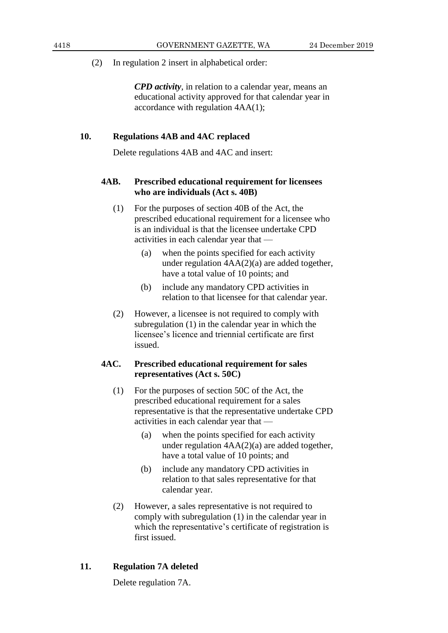*CPD activity*, in relation to a calendar year, means an educational activity approved for that calendar year in accordance with regulation 4AA(1);

# **10. Regulations 4AB and 4AC replaced**

Delete regulations 4AB and 4AC and insert:

# **4AB. Prescribed educational requirement for licensees who are individuals (Act s. 40B)**

- (1) For the purposes of section 40B of the Act, the prescribed educational requirement for a licensee who is an individual is that the licensee undertake CPD activities in each calendar year that —
	- (a) when the points specified for each activity under regulation 4AA(2)(a) are added together, have a total value of 10 points; and
	- (b) include any mandatory CPD activities in relation to that licensee for that calendar year.
- (2) However, a licensee is not required to comply with subregulation (1) in the calendar year in which the licensee's licence and triennial certificate are first issued.

# **4AC. Prescribed educational requirement for sales representatives (Act s. 50C)**

- (1) For the purposes of section 50C of the Act, the prescribed educational requirement for a sales representative is that the representative undertake CPD activities in each calendar year that —
	- (a) when the points specified for each activity under regulation 4AA(2)(a) are added together, have a total value of 10 points; and
	- (b) include any mandatory CPD activities in relation to that sales representative for that calendar year.
- (2) However, a sales representative is not required to comply with subregulation (1) in the calendar year in which the representative's certificate of registration is first issued.

## **11. Regulation 7A deleted**

Delete regulation 7A.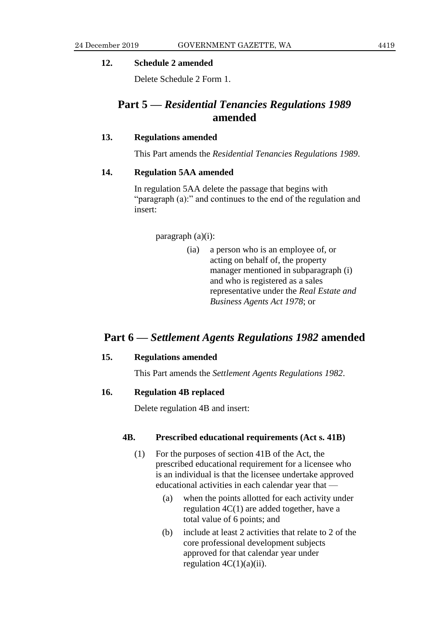## **12. Schedule 2 amended**

Delete Schedule 2 Form 1.

# **Part 5 —** *Residential Tenancies Regulations 1989* **amended**

# **13. Regulations amended**

This Part amends the *Residential Tenancies Regulations 1989*.

# **14. Regulation 5AA amended**

In regulation 5AA delete the passage that begins with "paragraph (a):" and continues to the end of the regulation and insert:

### paragraph (a)(i):

(ia) a person who is an employee of, or acting on behalf of, the property manager mentioned in subparagraph (i) and who is registered as a sales representative under the *Real Estate and Business Agents Act 1978*; or

# **Part 6 —** *Settlement Agents Regulations 1982* **amended**

# **15. Regulations amended**

This Part amends the *Settlement Agents Regulations 1982*.

# **16. Regulation 4B replaced**

Delete regulation 4B and insert:

# **4B. Prescribed educational requirements (Act s. 41B)**

- (1) For the purposes of section 41B of the Act, the prescribed educational requirement for a licensee who is an individual is that the licensee undertake approved educational activities in each calendar year that —
	- (a) when the points allotted for each activity under regulation 4C(1) are added together, have a total value of 6 points; and
	- (b) include at least 2 activities that relate to 2 of the core professional development subjects approved for that calendar year under regulation  $4C(1)(a)(ii)$ .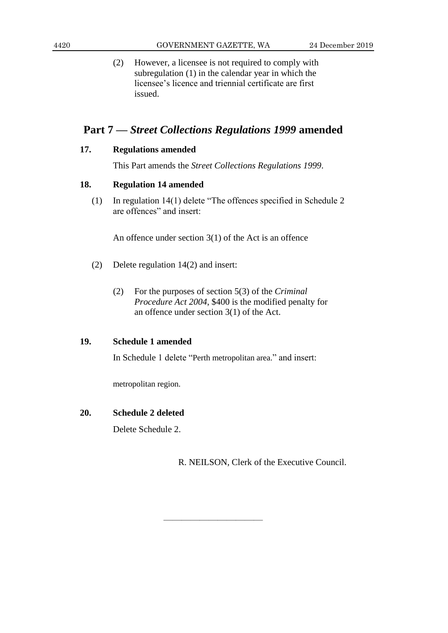(2) However, a licensee is not required to comply with subregulation (1) in the calendar year in which the licensee's licence and triennial certificate are first issued.

# **Part 7 —** *Street Collections Regulations 1999* **amended**

# **17. Regulations amended**

This Part amends the *Street Collections Regulations 1999*.

# **18. Regulation 14 amended**

(1) In regulation 14(1) delete "The offences specified in Schedule 2 are offences" and insert:

An offence under section 3(1) of the Act is an offence

- (2) Delete regulation 14(2) and insert:
	- (2) For the purposes of section 5(3) of the *Criminal Procedure Act 2004*, \$400 is the modified penalty for an offence under section 3(1) of the Act.

# **19. Schedule 1 amended**

In Schedule 1 delete "Perth metropolitan area." and insert:

————————————————————

metropolitan region.

# **20. Schedule 2 deleted**

Delete Schedule 2.

R. NEILSON, Clerk of the Executive Council.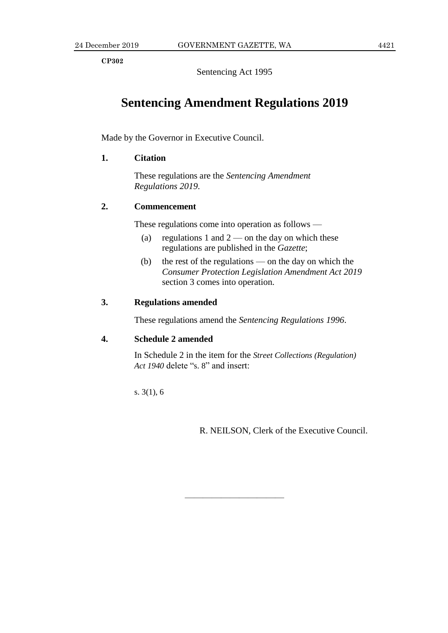**CP302**

Sentencing Act 1995

# **Sentencing Amendment Regulations 2019**

Made by the Governor in Executive Council.

# **1. Citation**

These regulations are the *Sentencing Amendment Regulations 2019*.

# **2. Commencement**

These regulations come into operation as follows —

- (a) regulations 1 and  $2$  on the day on which these regulations are published in the *Gazette*;
- (b) the rest of the regulations on the day on which the *Consumer Protection Legislation Amendment Act 2019* section 3 comes into operation.

# **3. Regulations amended**

These regulations amend the *Sentencing Regulations 1996*.

## **4. Schedule 2 amended**

In Schedule 2 in the item for the *Street Collections (Regulation) Act 1940* delete "s. 8" and insert:

———————————

s. 3(1), 6

R. NEILSON, Clerk of the Executive Council.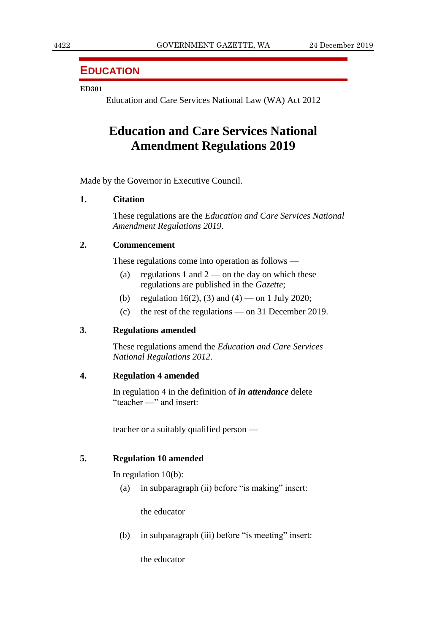# **EDUCATION**

## **ED301**

Education and Care Services National Law (WA) Act 2012

# **Education and Care Services National Amendment Regulations 2019**

Made by the Governor in Executive Council.

## **1. Citation**

These regulations are the *Education and Care Services National Amendment Regulations 2019*.

# **2. Commencement**

These regulations come into operation as follows —

- (a) regulations 1 and  $2$  on the day on which these regulations are published in the *Gazette*;
- (b) regulation 16(2), (3) and (4) on 1 July 2020;
- (c) the rest of the regulations on 31 December 2019.

# **3. Regulations amended**

These regulations amend the *Education and Care Services National Regulations 2012*.

# **4. Regulation 4 amended**

In regulation 4 in the definition of *in attendance* delete "teacher —" and insert:

teacher or a suitably qualified person —

# **5. Regulation 10 amended**

In regulation 10(b):

(a) in subparagraph (ii) before "is making" insert:

the educator

(b) in subparagraph (iii) before "is meeting" insert:

the educator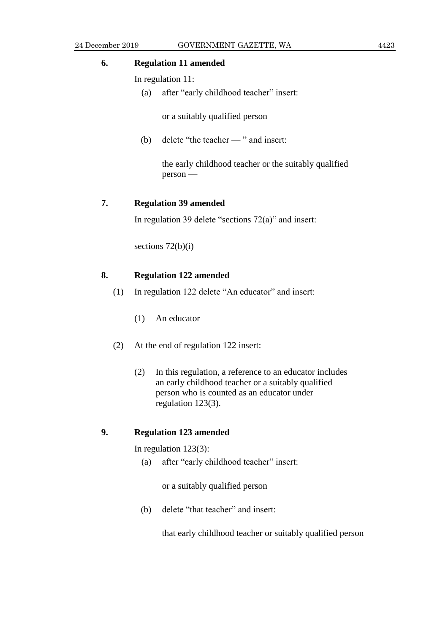# **6. Regulation 11 amended**

In regulation 11:

(a) after "early childhood teacher" insert:

or a suitably qualified person

(b) delete "the teacher — " and insert:

the early childhood teacher or the suitably qualified person —

# **7. Regulation 39 amended**

In regulation 39 delete "sections 72(a)" and insert:

sections  $72(b)(i)$ 

# **8. Regulation 122 amended**

- (1) In regulation 122 delete "An educator" and insert:
	- (1) An educator
- (2) At the end of regulation 122 insert:
	- (2) In this regulation, a reference to an educator includes an early childhood teacher or a suitably qualified person who is counted as an educator under regulation 123(3).

# **9. Regulation 123 amended**

In regulation 123(3):

(a) after "early childhood teacher" insert:

or a suitably qualified person

(b) delete "that teacher" and insert:

that early childhood teacher or suitably qualified person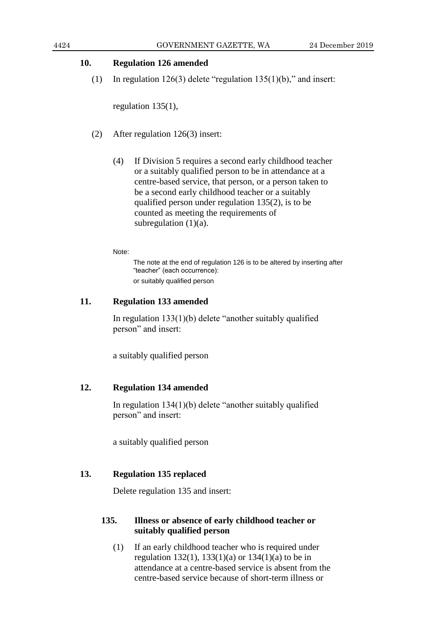# **10. Regulation 126 amended**

(1) In regulation  $126(3)$  delete "regulation  $135(1)(b)$ ," and insert:

regulation 135(1),

- (2) After regulation 126(3) insert:
	- (4) If Division 5 requires a second early childhood teacher or a suitably qualified person to be in attendance at a centre-based service, that person, or a person taken to be a second early childhood teacher or a suitably qualified person under regulation 135(2), is to be counted as meeting the requirements of subregulation  $(1)(a)$ .

Note:

The note at the end of regulation 126 is to be altered by inserting after "teacher" (each occurrence): or suitably qualified person

# **11. Regulation 133 amended**

In regulation 133(1)(b) delete "another suitably qualified person" and insert:

a suitably qualified person

# **12. Regulation 134 amended**

In regulation 134(1)(b) delete "another suitably qualified person" and insert:

a suitably qualified person

# **13. Regulation 135 replaced**

Delete regulation 135 and insert:

# **135. Illness or absence of early childhood teacher or suitably qualified person**

(1) If an early childhood teacher who is required under regulation 132(1), 133(1)(a) or 134(1)(a) to be in attendance at a centre-based service is absent from the centre-based service because of short-term illness or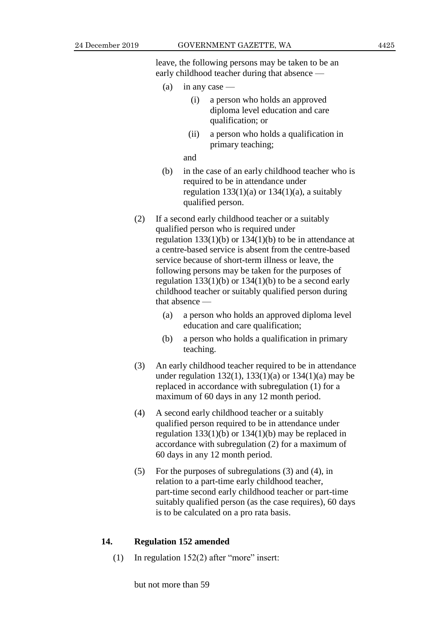leave, the following persons may be taken to be an early childhood teacher during that absence —

- (a) in any case
	- (i) a person who holds an approved diploma level education and care qualification; or
	- (ii) a person who holds a qualification in primary teaching;

and

- (b) in the case of an early childhood teacher who is required to be in attendance under regulation  $133(1)(a)$  or  $134(1)(a)$ , a suitably qualified person.
- (2) If a second early childhood teacher or a suitably qualified person who is required under regulation  $133(1)(b)$  or  $134(1)(b)$  to be in attendance at a centre-based service is absent from the centre-based service because of short-term illness or leave, the following persons may be taken for the purposes of regulation  $133(1)(b)$  or  $134(1)(b)$  to be a second early childhood teacher or suitably qualified person during that absence —
	- (a) a person who holds an approved diploma level education and care qualification;
	- (b) a person who holds a qualification in primary teaching.
- (3) An early childhood teacher required to be in attendance under regulation  $132(1)$ ,  $133(1)(a)$  or  $134(1)(a)$  may be replaced in accordance with subregulation (1) for a maximum of 60 days in any 12 month period.
- (4) A second early childhood teacher or a suitably qualified person required to be in attendance under regulation  $133(1)(b)$  or  $134(1)(b)$  may be replaced in accordance with subregulation (2) for a maximum of 60 days in any 12 month period.
- (5) For the purposes of subregulations (3) and (4), in relation to a part-time early childhood teacher, part-time second early childhood teacher or part-time suitably qualified person (as the case requires), 60 days is to be calculated on a pro rata basis.

# **14. Regulation 152 amended**

(1) In regulation 152(2) after "more" insert:

but not more than 59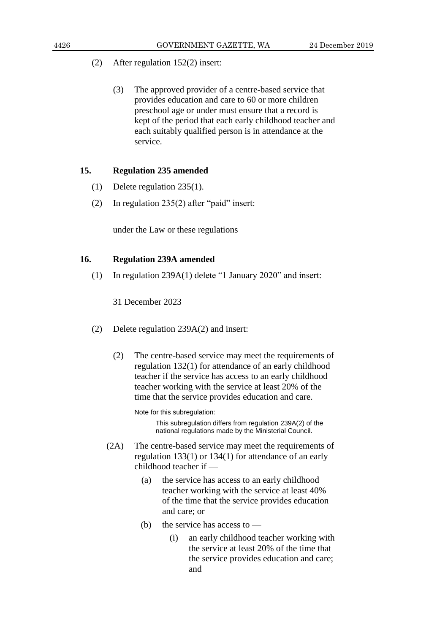- (2) After regulation 152(2) insert:
	- (3) The approved provider of a centre-based service that provides education and care to 60 or more children preschool age or under must ensure that a record is kept of the period that each early childhood teacher and each suitably qualified person is in attendance at the service.

# **15. Regulation 235 amended**

- (1) Delete regulation 235(1).
- (2) In regulation 235(2) after "paid" insert:

under the Law or these regulations

# **16. Regulation 239A amended**

(1) In regulation 239A(1) delete "1 January 2020" and insert:

31 December 2023

- (2) Delete regulation 239A(2) and insert:
	- (2) The centre-based service may meet the requirements of regulation 132(1) for attendance of an early childhood teacher if the service has access to an early childhood teacher working with the service at least 20% of the time that the service provides education and care.

Note for this subregulation:

This subregulation differs from regulation 239A(2) of the national regulations made by the Ministerial Council.

- (2A) The centre-based service may meet the requirements of regulation 133(1) or 134(1) for attendance of an early childhood teacher if —
	- (a) the service has access to an early childhood teacher working with the service at least 40% of the time that the service provides education and care; or
	- (b) the service has access to
		- (i) an early childhood teacher working with the service at least 20% of the time that the service provides education and care; and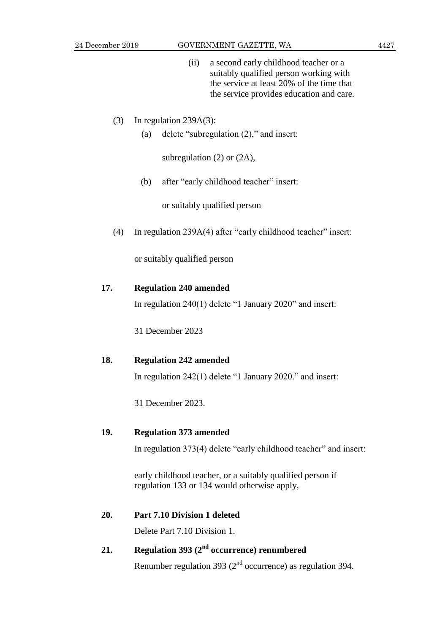(ii) a second early childhood teacher or a suitably qualified person working with the service at least 20% of the time that the service provides education and care.

# (3) In regulation 239A(3):

(a) delete "subregulation (2)," and insert:

subregulation (2) or (2A),

(b) after "early childhood teacher" insert:

or suitably qualified person

(4) In regulation 239A(4) after "early childhood teacher" insert:

or suitably qualified person

# **17. Regulation 240 amended**

In regulation 240(1) delete "1 January 2020" and insert:

31 December 2023

# **18. Regulation 242 amended**

In regulation 242(1) delete "1 January 2020." and insert:

31 December 2023.

# **19. Regulation 373 amended**

In regulation 373(4) delete "early childhood teacher" and insert:

early childhood teacher, or a suitably qualified person if regulation 133 or 134 would otherwise apply,

# **20. Part 7.10 Division 1 deleted**

Delete Part 7.10 Division 1.

# **21. Regulation 393 (2nd occurrence) renumbered**

Renumber regulation 393 ( $2<sup>nd</sup>$  occurrence) as regulation 394.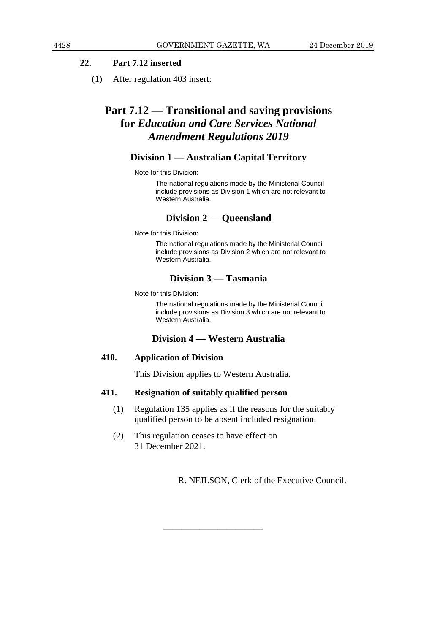# **22. Part 7.12 inserted**

(1) After regulation 403 insert:

# **Part 7.12 — Transitional and saving provisions for** *Education and Care Services National Amendment Regulations 2019*

# **Division 1 — Australian Capital Territory**

Note for this Division:

The national regulations made by the Ministerial Council include provisions as Division 1 which are not relevant to Western Australia.

# **Division 2 — Queensland**

Note for this Division:

The national regulations made by the Ministerial Council include provisions as Division 2 which are not relevant to Western Australia.

# **Division 3 — Tasmania**

Note for this Division:

The national regulations made by the Ministerial Council include provisions as Division 3 which are not relevant to Western Australia.

# **Division 4 — Western Australia**

# **410. Application of Division**

This Division applies to Western Australia.

————————————————————

## **411. Resignation of suitably qualified person**

- (1) Regulation 135 applies as if the reasons for the suitably qualified person to be absent included resignation.
- (2) This regulation ceases to have effect on 31 December 2021.

R. NEILSON, Clerk of the Executive Council.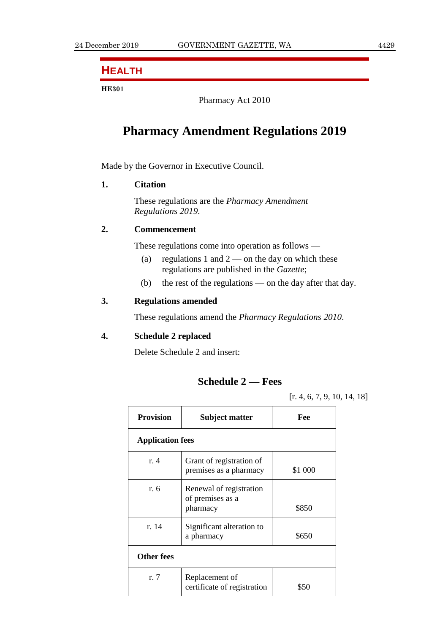# **HEALTH**

## **HE301**

Pharmacy Act 2010

# **Pharmacy Amendment Regulations 2019**

Made by the Governor in Executive Council.

# **1. Citation**

These regulations are the *Pharmacy Amendment Regulations 2019*.

# **2. Commencement**

These regulations come into operation as follows —

- (a) regulations 1 and  $2$  on the day on which these regulations are published in the *Gazette*;
- (b) the rest of the regulations on the day after that day.

# **3. Regulations amended**

These regulations amend the *Pharmacy Regulations 2010*.

# **4. Schedule 2 replaced**

Delete Schedule 2 and insert:

# **Schedule 2 — Fees**

[r. 4, 6, 7, 9, 10, 14, 18]

| <b>Provision</b>        | <b>Subject matter</b>                                   | Fee     |  |  |  |  |  |  |
|-------------------------|---------------------------------------------------------|---------|--|--|--|--|--|--|
| <b>Application fees</b> |                                                         |         |  |  |  |  |  |  |
| $r_{\rm A}$             | Grant of registration of<br>premises as a pharmacy      | \$1 000 |  |  |  |  |  |  |
| r. 6                    | Renewal of registration<br>of premises as a<br>pharmacy | \$850   |  |  |  |  |  |  |
| r. 14                   | Significant alteration to<br>a pharmacy                 | \$650   |  |  |  |  |  |  |
| <b>Other fees</b>       |                                                         |         |  |  |  |  |  |  |
| r.7                     | Replacement of<br>certificate of registration           | \$50    |  |  |  |  |  |  |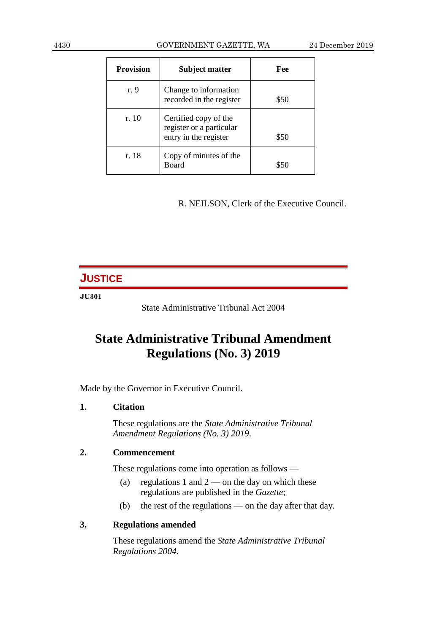| <b>Provision</b> | <b>Subject matter</b>                                                      | Fee  |
|------------------|----------------------------------------------------------------------------|------|
| r. 9             | Change to information<br>recorded in the register                          | \$50 |
| r. 10            | Certified copy of the<br>register or a particular<br>entry in the register | \$50 |
| r. 18            | Copy of minutes of the<br><b>Board</b>                                     |      |

R. NEILSON, Clerk of the Executive Council.

# **JUSTICE**

## **JU301**

State Administrative Tribunal Act 2004

# **State Administrative Tribunal Amendment Regulations (No. 3) 2019**

Made by the Governor in Executive Council.

# **1. Citation**

These regulations are the *State Administrative Tribunal Amendment Regulations (No. 3) 2019*.

# **2. Commencement**

These regulations come into operation as follows —

- (a) regulations 1 and  $2$  on the day on which these regulations are published in the *Gazette*;
- (b) the rest of the regulations on the day after that day.

# **3. Regulations amended**

These regulations amend the *State Administrative Tribunal Regulations 2004*.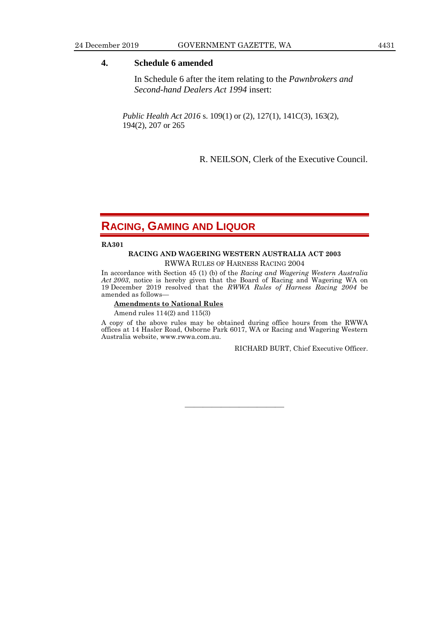### **4. Schedule 6 amended**

In Schedule 6 after the item relating to the *Pawnbrokers and Second-hand Dealers Act 1994* insert:

*Public Health Act 2016* s. 109(1) or (2), 127(1), 141C(3), 163(2), 194(2), 207 or 265

R. NEILSON, Clerk of the Executive Council.

# **RACING, GAMING AND LIQUOR**

**RA301**

# **RACING AND WAGERING WESTERN AUSTRALIA ACT 2003**

RWWA RULES OF HARNESS RACING 2004

In accordance with Section 45 (1) (b) of the *Racing and Wagering Western Australia Act 2003*, notice is hereby given that the Board of Racing and Wagering WA on 19 December 2019 resolved that the *RWWA Rules of Harness Racing 2004* be amended as follows—

### **Amendments to National Rules**

Amend rules 114(2) and 115(3)

A copy of the above rules may be obtained during office hours from the RWWA offices at 14 Hasler Road, Osborne Park 6017, WA or Racing and Wagering Western Australia website, www.rwwa.com.au.

———————————

RICHARD BURT, Chief Executive Officer.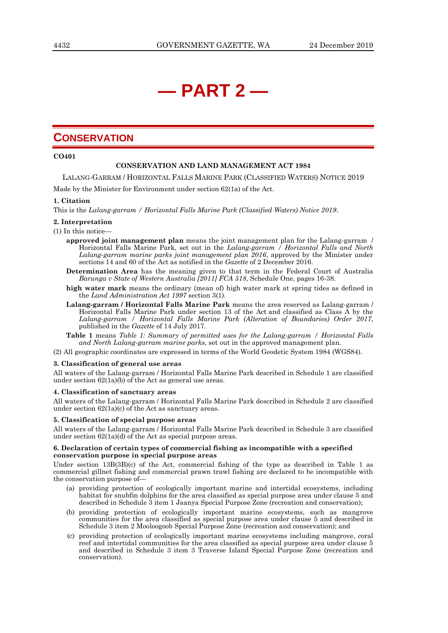# **— PART 2 —**

# **CONSERVATION**

**CO401**

### **CONSERVATION AND LAND MANAGEMENT ACT 1984**

LALANG-GARRAM / HORIZONTAL FALLS MARINE PARK (CLASSIFIED WATERS) NOTICE 2019

Made by the Minister for Environment under section 62(1a) of the Act.

### **1. Citation**

This is the *Lalang-garram / Horizontal Falls Marine Park (Classified Waters) Notice 2019*.

### **2. Interpretation**

### (1) In this notice—

- **approved joint management plan** means the joint management plan for the Lalang-garram / Horizontal Falls Marine Park, set out in the *Lalang-garram / Horizontal Falls and North Lalang-garram marine parks joint management plan 2016*, approved by the Minister under sections 14 and 60 of the Act as notified in the *Gazette* of 2 December 2016.
- **Determination Area** has the meaning given to that term in the Federal Court of Australia *Barunga v State of Western Australia [2011] FCA 518*, Schedule One, pages 16-38.
- **high water mark** means the ordinary (mean of) high water mark at spring tides as defined in the *Land Administration Act 1997* section 3(1).
- **Lalang-garram / Horizontal Falls Marine Park** means the area reserved as Lalang-garram / Horizontal Falls Marine Park under section 13 of the Act and classified as Class A by the *Lalang-garram / Horizontal Falls Marine Park (Alteration of Boundaries) Order 2017*, published in the *Gazette* of 14 July 2017.
- **Table 1** means *Table 1: Summary of permitted uses for the Lalang-garram / Horizontal Falls and North Lalang-garram marine parks*, set out in the approved management plan.
- (2) All geographic coordinates are expressed in terms of the World Geodetic System 1984 (WGS84).

### **3. Classification of general use areas**

All waters of the Lalang-garram / Horizontal Falls Marine Park described in Schedule 1 are classified under section 62(1a)(b) of the Act as general use areas.

### **4. Classification of sanctuary areas**

All waters of the Lalang-garram / Horizontal Falls Marine Park described in Schedule 2 are classified under section 62(1a)(c) of the Act as sanctuary areas.

### **5. Classification of special purpose areas**

All waters of the Lalang-garram / Horizontal Falls Marine Park described in Schedule 3 are classified under section 62(1a)(d) of the Act as special purpose areas.

### **6. Declaration of certain types of commercial fishing as incompatible with a specified conservation purpose in special purpose areas**

Under section 13B(3B)(c) of the Act, commercial fishing of the type as described in Table 1 as commercial gillnet fishing and commercial prawn trawl fishing are declared to be incompatible with the conservation purpose of—

- (a) providing protection of ecologically important marine and intertidal ecosystems, including habitat for snubfin dolphins for the area classified as special purpose area under clause 5 and described in Schedule 3 item 1 Jaanya Special Purpose Zone (recreation and conservation);
- (b) providing protection of ecologically important marine ecosystems, such as mangrove communities for the area classified as special purpose area under clause 5 and described in Schedule 3 item 2 Mooloogoob Special Purpose Zone (recreation and conservation); and
- (c) providing protection of ecologically important marine ecosystems including mangrove, coral reef and intertidal communities for the area classified as special purpose area under clause 5 and described in Schedule 3 item 3 Traverse Island Special Purpose Zone (recreation and conservation).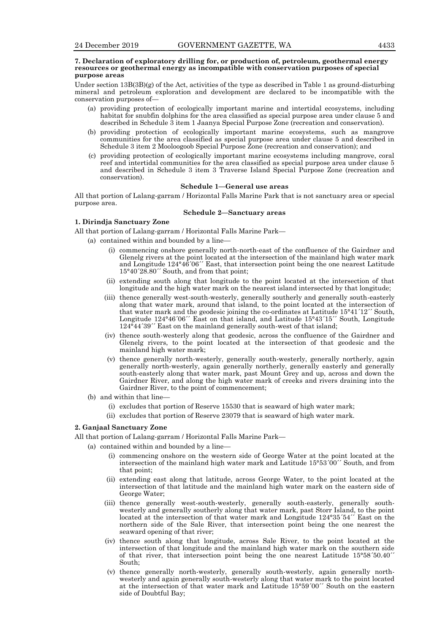### **7. Declaration of exploratory drilling for, or production of, petroleum, geothermal energy resources or geothermal energy as incompatible with conservation purposes of special purpose areas**

Under section  $13B(3B)(g)$  of the Act, activities of the type as described in Table 1 as ground-disturbing mineral and petroleum exploration and development are declared to be incompatible with the conservation purposes of—

- (a) providing protection of ecologically important marine and intertidal ecosystems, including habitat for snubfin dolphins for the area classified as special purpose area under clause 5 and described in Schedule 3 item 1 Jaanya Special Purpose Zone (recreation and conservation).
- (b) providing protection of ecologically important marine ecosystems, such as mangrove communities for the area classified as special purpose area under clause 5 and described in Schedule 3 item 2 Mooloogoob Special Purpose Zone (recreation and conservation); and
- (c) providing protection of ecologically important marine ecosystems including mangrove, coral reef and intertidal communities for the area classified as special purpose area under clause 5 and described in Schedule 3 item 3 Traverse Island Special Purpose Zone (recreation and conservation).

### **Schedule 1—General use areas**

All that portion of Lalang-garram / Horizontal Falls Marine Park that is not sanctuary area or special purpose area.

### **Schedule 2—Sanctuary areas**

### **1. Dirindja Sanctuary Zone**

All that portion of Lalang-garram / Horizontal Falls Marine Park—

- (a) contained within and bounded by a line—
	- (i) commencing onshore generally north-north-east of the confluence of the Gairdner and Glenelg rivers at the point located at the intersection of the mainland high water mark and Longitude 124°46´06´´ East, that intersection point being the one nearest Latitude 15°40´28.80´´ South, and from that point;
	- (ii) extending south along that longitude to the point located at the intersection of that longitude and the high water mark on the nearest island intersected by that longitude;
	- (iii) thence generally west-south-westerly, generally southerly and generally south-easterly along that water mark, around that island, to the point located at the intersection of that water mark and the geodesic joining the co-ordinates at Latitude 15°41´12´´ South, Longitude 124°46´06´´ East on that island, and Latitude 15°43´15´´ South, Longitude 124°44´39´´ East on the mainland generally south-west of that island;
	- (iv) thence south-westerly along that geodesic, across the confluence of the Gairdner and Glenelg rivers, to the point located at the intersection of that geodesic and the mainland high water mark;
	- (v) thence generally north-westerly, generally south-westerly, generally northerly, again generally north-westerly, again generally northerly, generally easterly and generally south-easterly along that water mark, past Mount Grey and up, across and down the Gairdner River, and along the high water mark of creeks and rivers draining into the Gairdner River, to the point of commencement;
- (b) and within that line—
	- (i) excludes that portion of Reserve 15530 that is seaward of high water mark;
	- (ii) excludes that portion of Reserve 23079 that is seaward of high water mark.

### **2. Ganjaal Sanctuary Zone**

All that portion of Lalang-garram / Horizontal Falls Marine Park—

- (a) contained within and bounded by a line—
	- (i) commencing onshore on the western side of George Water at the point located at the intersection of the mainland high water mark and Latitude 15°53´00´´ South, and from that point;
	- (ii) extending east along that latitude, across George Water, to the point located at the intersection of that latitude and the mainland high water mark on the eastern side of George Water;
	- (iii) thence generally west-south-westerly, generally south-easterly, generally southwesterly and generally southerly along that water mark, past Storr Island, to the point located at the intersection of that water mark and Longitude  $124^{\circ}35'54''$  East on the northern side of the Sale River, that intersection point being the one nearest the seaward opening of that river;
	- (iv) thence south along that longitude, across Sale River, to the point located at the intersection of that longitude and the mainland high water mark on the southern side of that river, that intersection point being the one nearest Latitude 15°58´50.40´´ South;
	- (v) thence generally north-westerly, generally south-westerly, again generally northwesterly and again generally south-westerly along that water mark to the point located at the intersection of that water mark and Latitude 15°59´00´´ South on the eastern side of Doubtful Bay;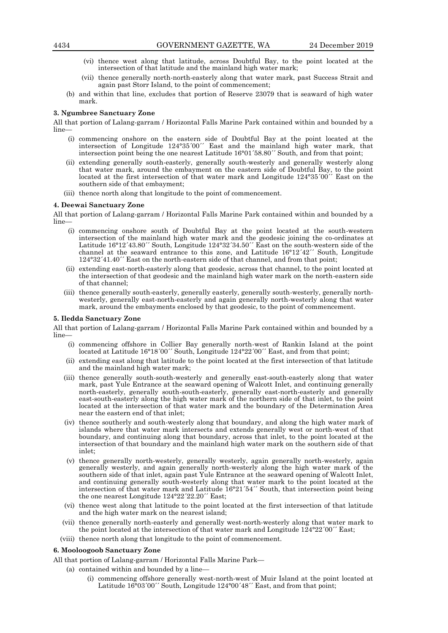- (vi) thence west along that latitude, across Doubtful Bay, to the point located at the intersection of that latitude and the mainland high water mark;
- (vii) thence generally north-north-easterly along that water mark, past Success Strait and again past Storr Island, to the point of commencement;
- (b) and within that line, excludes that portion of Reserve 23079 that is seaward of high water mark.

### **3. Ngumbree Sanctuary Zone**

All that portion of Lalang-garram / Horizontal Falls Marine Park contained within and bounded by a line—

- (i) commencing onshore on the eastern side of Doubtful Bay at the point located at the intersection of Longitude 124°35´00´´ East and the mainland high water mark, that intersection point being the one nearest Latitude 16°01´58.80´´ South, and from that point;
- (ii) extending generally south-easterly, generally south-westerly and generally westerly along that water mark, around the embayment on the eastern side of Doubtful Bay, to the point located at the first intersection of that water mark and Longitude 124°35´00´´ East on the southern side of that embayment;
- (iii) thence north along that longitude to the point of commencement.

### **4. Deewai Sanctuary Zone**

All that portion of Lalang-garram / Horizontal Falls Marine Park contained within and bounded by a line—

- (i) commencing onshore south of Doubtful Bay at the point located at the south-western intersection of the mainland high water mark and the geodesic joining the co-ordinates at Latitude  $16^{\circ}12'43.80''$  South, Longitude  $124^{\circ}32'34.50''$  East on the south-western side of the channel at the seaward entrance to this zone, and Latitude 16°12´42´´ South, Longitude 124°32´41.40´´ East on the north-eastern side of that channel, and from that point;
- (ii) extending east-north-easterly along that geodesic, across that channel, to the point located at the intersection of that geodesic and the mainland high water mark on the north-eastern side of that channel;
- (iii) thence generally south-easterly, generally easterly, generally south-westerly, generally northwesterly, generally east-north-easterly and again generally north-westerly along that water mark, around the embayments enclosed by that geodesic, to the point of commencement.

### **5. Iledda Sanctuary Zone**

All that portion of Lalang-garram / Horizontal Falls Marine Park contained within and bounded by a line—

- (i) commencing offshore in Collier Bay generally north-west of Rankin Island at the point located at Latitude 16°18′00′′ South, Longitude 124°22′00′′ East, and from that point;
- (ii) extending east along that latitude to the point located at the first intersection of that latitude and the mainland high water mark;
- (iii) thence generally south-south-westerly and generally east-south-easterly along that water mark, past Yule Entrance at the seaward opening of Walcott Inlet, and continuing generally north-easterly, generally south-south-easterly, generally east-north-easterly and generally east-south-easterly along the high water mark of the northern side of that inlet, to the point located at the intersection of that water mark and the boundary of the Determination Area near the eastern end of that inlet;
- (iv) thence southerly and south-westerly along that boundary, and along the high water mark of islands where that water mark intersects and extends generally west or north-west of that boundary, and continuing along that boundary, across that inlet, to the point located at the intersection of that boundary and the mainland high water mark on the southern side of that inlet;
- (v) thence generally north-westerly, generally westerly, again generally north-westerly, again generally westerly, and again generally north-westerly along the high water mark of the southern side of that inlet, again past Yule Entrance at the seaward opening of Walcott Inlet, and continuing generally south-westerly along that water mark to the point located at the intersection of that water mark and Latitude 16°21´54´´ South, that intersection point being the one nearest Longitude 124°22´22.20´´ East;
- (vi) thence west along that latitude to the point located at the first intersection of that latitude and the high water mark on the nearest island;
- (vii) thence generally north-easterly and generally west-north-westerly along that water mark to the point located at the intersection of that water mark and Longitude  $124^{\circ}22'00''$  East;
- (viii) thence north along that longitude to the point of commencement.

### **6. Mooloogoob Sanctuary Zone**

All that portion of Lalang-garram / Horizontal Falls Marine Park—

- (a) contained within and bounded by a line—
	- (i) commencing offshore generally west-north-west of Muir Island at the point located at Latitude 16°03´00´´ South, Longitude 124°00´48´´ East, and from that point;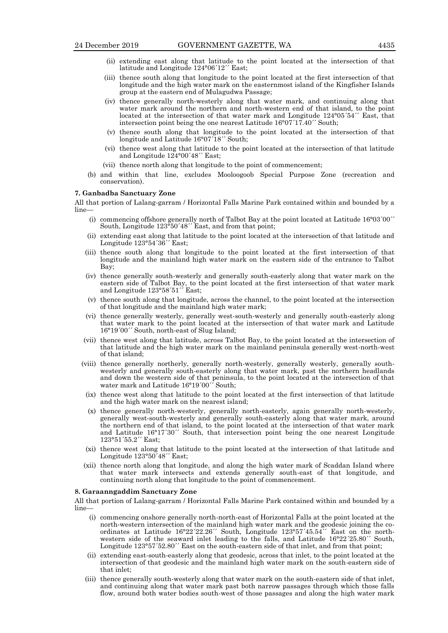- (ii) extending east along that latitude to the point located at the intersection of that latitude and Longitude 124°06´12´´ East;
- (iii) thence south along that longitude to the point located at the first intersection of that longitude and the high water mark on the easternmost island of the Kingfisher Islands group at the eastern end of Mulagudwa Passage;
- (iv) thence generally north-westerly along that water mark, and continuing along that water mark around the northern and north-western end of that island, to the point located at the intersection of that water mark and Longitude  $124^{\circ}05'54''$  East, that intersection point being the one nearest Latitude 16°07´17.40´´ South;
- (v) thence south along that longitude to the point located at the intersection of that longitude and Latitude  $16^{\circ}07'18''$  South;
- (vi) thence west along that latitude to the point located at the intersection of that latitude and Longitude 124°00´48´´ East;
- (vii) thence north along that longitude to the point of commencement;
- (b) and within that line, excludes Mooloogoob Special Purpose Zone (recreation and conservation).

### **7. Ganbadba Sanctuary Zone**

All that portion of Lalang-garram / Horizontal Falls Marine Park contained within and bounded by a line—

- (i) commencing offshore generally north of Talbot Bay at the point located at Latitude 16°03´00´´ South, Longitude 123°50´48´´ East, and from that point;
- (ii) extending east along that latitude to the point located at the intersection of that latitude and Longitude 123°54´36´´ East;
- (iii) thence south along that longitude to the point located at the first intersection of that longitude and the mainland high water mark on the eastern side of the entrance to Talbot Bay;
- (iv) thence generally south-westerly and generally south-easterly along that water mark on the eastern side of Talbot Bay, to the point located at the first intersection of that water mark and Longitude 123°58´51´´ East;
- (v) thence south along that longitude, across the channel, to the point located at the intersection of that longitude and the mainland high water mark;
- (vi) thence generally westerly, generally west-south-westerly and generally south-easterly along that water mark to the point located at the intersection of that water mark and Latitude 16°19´00´´ South, north-east of Slug Island;
- (vii) thence west along that latitude, across Talbot Bay, to the point located at the intersection of that latitude and the high water mark on the mainland peninsula generally west-north-west of that island;
- (viii) thence generally northerly, generally north-westerly, generally westerly, generally southwesterly and generally south-easterly along that water mark, past the northern headlands and down the western side of that peninsula, to the point located at the intersection of that water mark and Latitude 16°19´00´´ South;
- (ix) thence west along that latitude to the point located at the first intersection of that latitude and the high water mark on the nearest island;
- (x) thence generally north-westerly, generally north-easterly, again generally north-westerly, generally west-south-westerly and generally south-easterly along that water mark, around the northern end of that island, to the point located at the intersection of that water mark and Latitude 16°17´30´´ South, that intersection point being the one nearest Longitude 123°51´55.2´´ East;
- (xi) thence west along that latitude to the point located at the intersection of that latitude and Longitude 123°50<sup>*'*48'</sup> East;
- (xii) thence north along that longitude, and along the high water mark of Scaddan Island where that water mark intersects and extends generally south-east of that longitude, and continuing north along that longitude to the point of commencement.

### **8. Garaanngaddim Sanctuary Zone**

All that portion of Lalang-garram / Horizontal Falls Marine Park contained within and bounded by a line—

- (i) commencing onshore generally north-north-east of Horizontal Falls at the point located at the north-western intersection of the mainland high water mark and the geodesic joining the coordinates at Latitude 16°22´22.26´´ South, Longitude 123°57´45.54´´ East on the northwestern side of the seaward inlet leading to the falls, and Latitude  $16^{\circ}22^{\prime}25.80^{\prime\prime}$  South, Longitude  $123^{\circ}57'52.80''$  East on the south-eastern side of that inlet, and from that point;
- (ii) extending east-south-easterly along that geodesic, across that inlet, to the point located at the intersection of that geodesic and the mainland high water mark on the south-eastern side of that inlet;
- (iii) thence generally south-westerly along that water mark on the south-eastern side of that inlet, and continuing along that water mark past both narrow passages through which those falls flow, around both water bodies south-west of those passages and along the high water mark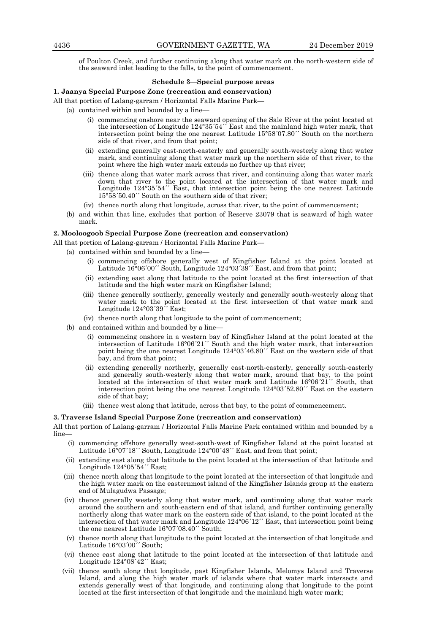of Poulton Creek, and further continuing along that water mark on the north-western side of the seaward inlet leading to the falls, to the point of commencement.

### **Schedule 3—Special purpose areas**

**1. Jaanya Special Purpose Zone (recreation and conservation)**

- All that portion of Lalang-garram / Horizontal Falls Marine Park—
	- (a) contained within and bounded by a line—
		- (i) commencing onshore near the seaward opening of the Sale River at the point located at the intersection of Longitude 124°35´54´´ East and the mainland high water mark, that intersection point being the one nearest Latitude 15°58´07.80´´ South on the northern side of that river, and from that point;
		- (ii) extending generally east-north-easterly and generally south-westerly along that water mark, and continuing along that water mark up the northern side of that river, to the point where the high water mark extends no further up that river;
		- (iii) thence along that water mark across that river, and continuing along that water mark down that river to the point located at the intersection of that water mark and Longitude 124°35´54´´ East, that intersection point being the one nearest Latitude 15°58´50.40´´ South on the southern side of that river;
		- (iv) thence north along that longitude, across that river, to the point of commencement;
	- (b) and within that line, excludes that portion of Reserve 23079 that is seaward of high water mark.

### **2. Mooloogoob Special Purpose Zone (recreation and conservation)**

All that portion of Lalang-garram / Horizontal Falls Marine Park—

- (a) contained within and bounded by a line—
	- (i) commencing offshore generally west of Kingfisher Island at the point located at Latitude 16°06'00" South, Longitude 124°03'39" East, and from that point;
	- extending east along that latitude to the point located at the first intersection of that latitude and the high water mark on Kingfisher Island;
	- (iii) thence generally southerly, generally westerly and generally south-westerly along that water mark to the point located at the first intersection of that water mark and Longitude 124°03´39´´ East;
	- (iv) thence north along that longitude to the point of commencement;
- (b) and contained within and bounded by a line
	- commencing onshore in a western bay of Kingfisher Island at the point located at the intersection of Latitude 16°06´21´´ South and the high water mark, that intersection point being the one nearest Longitude 124°03´46.80´´ East on the western side of that bay, and from that point;
	- (ii) extending generally northerly, generally east-north-easterly, generally south-easterly and generally south-westerly along that water mark, around that bay, to the point located at the intersection of that water mark and Latitude 16°06´21´´ South, that intersection point being the one nearest Longitude 124°03´52.80´´ East on the eastern side of that bay;
	- (iii) thence west along that latitude, across that bay, to the point of commencement.

### **3. Traverse Island Special Purpose Zone (recreation and conservation)**

All that portion of Lalang-garram / Horizontal Falls Marine Park contained within and bounded by a line—

- (i) commencing offshore generally west-south-west of Kingfisher Island at the point located at Latitude 16°07´18´´ South, Longitude 124°00´48´´ East, and from that point;
- (ii) extending east along that latitude to the point located at the intersection of that latitude and Longitude 124°05´54´´ East;
- (iii) thence north along that longitude to the point located at the intersection of that longitude and the high water mark on the easternmost island of the Kingfisher Islands group at the eastern end of Mulagudwa Passage;
- (iv) thence generally westerly along that water mark, and continuing along that water mark around the southern and south-eastern end of that island, and further continuing generally northerly along that water mark on the eastern side of that island, to the point located at the intersection of that water mark and Longitude 124°06´12´´ East, that intersection point being the one nearest Latitude 16°07´08.40´´ South;
- (v) thence north along that longitude to the point located at the intersection of that longitude and Latitude 16°03´00´´ South;
- (vi) thence east along that latitude to the point located at the intersection of that latitude and Longitude  $124^{\circ}08'42''$  East;
- (vii) thence south along that longitude, past Kingfisher Islands, Melomys Island and Traverse Island, and along the high water mark of islands where that water mark intersects and extends generally west of that longitude, and continuing along that longitude to the point located at the first intersection of that longitude and the mainland high water mark;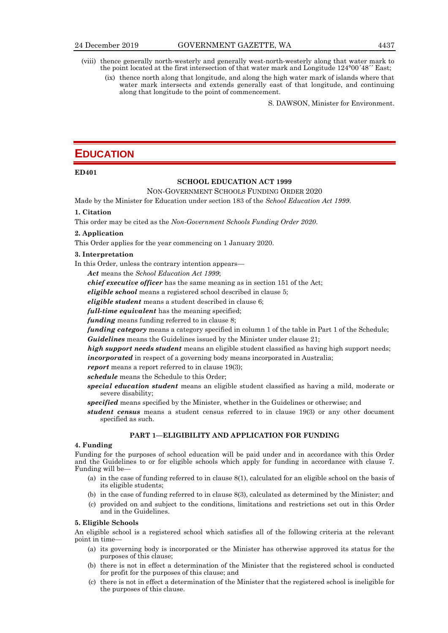- (viii) thence generally north-westerly and generally west-north-westerly along that water mark to the point located at the first intersection of that water mark and Longitude 124°00´48´´ East;
	- (ix) thence north along that longitude, and along the high water mark of islands where that water mark intersects and extends generally east of that longitude, and continuing along that longitude to the point of commencement.

S. DAWSON, Minister for Environment.

# **EDUCATION**

### **ED401**

### **SCHOOL EDUCATION ACT 1999**

### NON-GOVERNMENT SCHOOLS FUNDING ORDER 2020

Made by the Minister for Education under section 183 of the *School Education Act 1999*.

### **1. Citation**

This order may be cited as the *Non-Government Schools Funding Order 2020*.

### **2. Application**

This Order applies for the year commencing on 1 January 2020.

### **3. Interpretation**

In this Order, unless the contrary intention appears—

*Act* means the *School Education Act 1999*;

*chief executive officer* has the same meaning as in section 151 of the Act;

*eligible school* means a registered school described in clause 5;

*eligible student* means a student described in clause 6;

*full-time equivalent* has the meaning specified;

*funding* means funding referred to in clause 8;

*funding category* means a category specified in column 1 of the table in Part 1 of the Schedule; *Guidelines* means the Guidelines issued by the Minister under clause 21;

*high support needs student* means an eligible student classified as having high support needs; *incorporated* in respect of a governing body means incorporated in Australia;

*report* means a report referred to in clause 19(3):

*schedule* means the Schedule to this Order;

- *special education student* means an eligible student classified as having a mild, moderate or severe disability;
- *specified* means specified by the Minister, whether in the Guidelines or otherwise; and
- *student census* means a student census referred to in clause 19(3) or any other document specified as such.

### **PART 1—ELIGIBILITY AND APPLICATION FOR FUNDING**

### **4. Funding**

Funding for the purposes of school education will be paid under and in accordance with this Order and the Guidelines to or for eligible schools which apply for funding in accordance with clause 7. Funding will be—

- (a) in the case of funding referred to in clause 8(1), calculated for an eligible school on the basis of its eligible students;
- (b) in the case of funding referred to in clause 8(3), calculated as determined by the Minister; and
- (c) provided on and subject to the conditions, limitations and restrictions set out in this Order and in the Guidelines.

### **5. Eligible Schools**

An eligible school is a registered school which satisfies all of the following criteria at the relevant point in time—

- (a) its governing body is incorporated or the Minister has otherwise approved its status for the purposes of this clause;
- (b) there is not in effect a determination of the Minister that the registered school is conducted for profit for the purposes of this clause; and
- (c) there is not in effect a determination of the Minister that the registered school is ineligible for the purposes of this clause.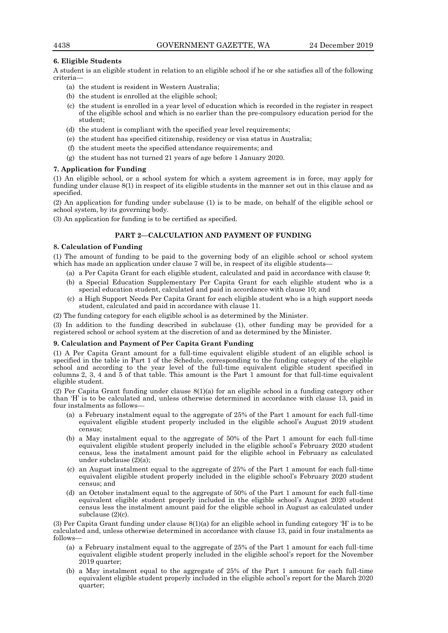### **6. Eligible Students**

A student is an eligible student in relation to an eligible school if he or she satisfies all of the following criteria—

- (a) the student is resident in Western Australia;
- (b) the student is enrolled at the eligible school;
- (c) the student is enrolled in a year level of education which is recorded in the register in respect of the eligible school and which is no earlier than the pre-compulsory education period for the student;
- (d) the student is compliant with the specified year level requirements;
- (e) the student has specified citizenship, residency or visa status in Australia;
- (f) the student meets the specified attendance requirements; and
- (g) the student has not turned 21 years of age before 1 January 2020.

### **7. Application for Funding**

(1) An eligible school, or a school system for which a system agreement is in force, may apply for funding under clause 8(1) in respect of its eligible students in the manner set out in this clause and as specified.

(2) An application for funding under subclause (1) is to be made, on behalf of the eligible school or school system, by its governing body.

(3) An application for funding is to be certified as specified.

### **PART 2—CALCULATION AND PAYMENT OF FUNDING**

### **8. Calculation of Funding**

(1) The amount of funding to be paid to the governing body of an eligible school or school system which has made an application under clause 7 will be, in respect of its eligible students-

- (a) a Per Capita Grant for each eligible student, calculated and paid in accordance with clause 9;
- (b) a Special Education Supplementary Per Capita Grant for each eligible student who is a special education student, calculated and paid in accordance with clause 10; and
- (c) a High Support Needs Per Capita Grant for each eligible student who is a high support needs student, calculated and paid in accordance with clause 11.
- (2) The funding category for each eligible school is as determined by the Minister.

(3) In addition to the funding described in subclause (1), other funding may be provided for a registered school or school system at the discretion of and as determined by the Minister.

### **9. Calculation and Payment of Per Capita Grant Funding**

(1) A Per Capita Grant amount for a full-time equivalent eligible student of an eligible school is specified in the table in Part 1 of the Schedule, corresponding to the funding category of the eligible school and according to the year level of the full-time equivalent eligible student specified in columns 2, 3, 4 and 5 of that table. This amount is the Part 1 amount for that full-time equivalent eligible student.

(2) Per Capita Grant funding under clause 8(1)(a) for an eligible school in a funding category other than 'H' is to be calculated and, unless otherwise determined in accordance with clause 13, paid in four instalments as follows—

- (a) a February instalment equal to the aggregate of 25% of the Part 1 amount for each full-time equivalent eligible student properly included in the eligible school's August 2019 student census;
- (b) a May instalment equal to the aggregate of 50% of the Part 1 amount for each full-time equivalent eligible student properly included in the eligible school's February 2020 student census, less the instalment amount paid for the eligible school in February as calculated under subclause (2)(a);
- (c) an August instalment equal to the aggregate of 25% of the Part 1 amount for each full-time equivalent eligible student properly included in the eligible school's February 2020 student census; and
- (d) an October instalment equal to the aggregate of 50% of the Part 1 amount for each full-time equivalent eligible student properly included in the eligible school's August 2020 student census less the instalment amount paid for the eligible school in August as calculated under subclause (2)(c).

(3) Per Capita Grant funding under clause 8(1)(a) for an eligible school in funding category 'H' is to be calculated and, unless otherwise determined in accordance with clause 13, paid in four instalments as follows—

- (a) a February instalment equal to the aggregate of 25% of the Part 1 amount for each full-time equivalent eligible student properly included in the eligible school's report for the November 2019 quarter;
- (b) a May instalment equal to the aggregate of 25% of the Part 1 amount for each full-time equivalent eligible student properly included in the eligible school's report for the March 2020 quarter;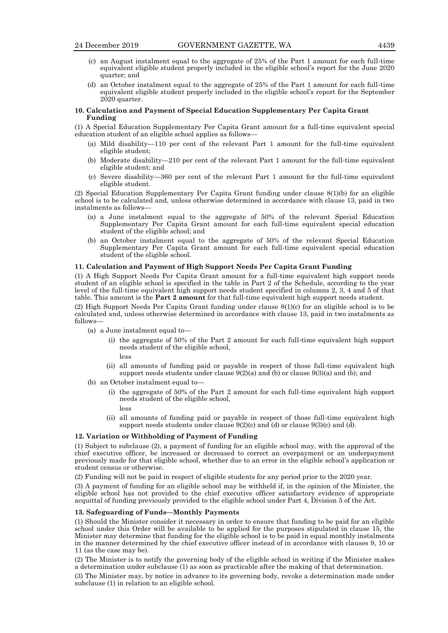- (c) an August instalment equal to the aggregate of 25% of the Part 1 amount for each full-time equivalent eligible student properly included in the eligible school's report for the June 2020 quarter; and
- (d) an October instalment equal to the aggregate of 25% of the Part 1 amount for each full-time equivalent eligible student properly included in the eligible school's report for the September 2020 quarter.

### **10. Calculation and Payment of Special Education Supplementary Per Capita Grant Funding**

(1) A Special Education Supplementary Per Capita Grant amount for a full-time equivalent special education student of an eligible school applies as follows—

- (a) Mild disability—110 per cent of the relevant Part 1 amount for the full-time equivalent eligible student;
- (b) Moderate disability—210 per cent of the relevant Part 1 amount for the full-time equivalent eligible student; and
- (c) Severe disability—360 per cent of the relevant Part 1 amount for the full-time equivalent eligible student.

(2) Special Education Supplementary Per Capita Grant funding under clause 8(1)(b) for an eligible school is to be calculated and, unless otherwise determined in accordance with clause 13, paid in two instalments as follows—

- (a) a June instalment equal to the aggregate of 50% of the relevant Special Education Supplementary Per Capita Grant amount for each full-time equivalent special education student of the eligible school; and
- (b) an October instalment equal to the aggregate of 50% of the relevant Special Education Supplementary Per Capita Grant amount for each full-time equivalent special education student of the eligible school.

### **11. Calculation and Payment of High Support Needs Per Capita Grant Funding**

(1) A High Support Needs Per Capita Grant amount for a full-time equivalent high support needs student of an eligible school is specified in the table in Part 2 of the Schedule, according to the year level of the full-time equivalent high support needs student specified in columns 2, 3, 4 and 5 of that table. This amount is the **Part 2 amount** for that full-time equivalent high support needs student.

(2) High Support Needs Per Capita Grant funding under clause 8(1)(c) for an eligible school is to be calculated and, unless otherwise determined in accordance with clause 13, paid in two instalments as follows—

- (a) a June instalment equal to—
	- (i) the aggregate of 50% of the Part 2 amount for each full-time equivalent high support needs student of the eligible school,
		- less
	- (ii) all amounts of funding paid or payable in respect of those full-time equivalent high support needs students under clause  $9(2)(a)$  and  $(b)$  or clause  $9(3)(a)$  and  $(b)$ ; and
- (b) an October instalment equal to—
	- (i) the aggregate of 50% of the Part 2 amount for each full-time equivalent high support needs student of the eligible school,
		- less
	- (ii) all amounts of funding paid or payable in respect of those full-time equivalent high support needs students under clause 9(2)(c) and (d) or clause 9(3)(c) and (d).

### **12. Variation or Withholding of Payment of Funding**

(1) Subject to subclause (2), a payment of funding for an eligible school may, with the approval of the chief executive officer, be increased or decreased to correct an overpayment or an underpayment previously made for that eligible school, whether due to an error in the eligible school's application or student census or otherwise.

(2) Funding will not be paid in respect of eligible students for any period prior to the 2020 year.

(3) A payment of funding for an eligible school may be withheld if, in the opinion of the Minister, the eligible school has not provided to the chief executive officer satisfactory evidence of appropriate acquittal of funding previously provided to the eligible school under Part 4, Division 5 of the Act.

### **13. Safeguarding of Funds—Monthly Payments**

(1) Should the Minister consider it necessary in order to ensure that funding to be paid for an eligible school under this Order will be available to be applied for the purposes stipulated in clause 15, the Minister may determine that funding for the eligible school is to be paid in equal monthly instalments in the manner determined by the chief executive officer instead of in accordance with clauses 9, 10 or 11 (as the case may be).

(2) The Minister is to notify the governing body of the eligible school in writing if the Minister makes a determination under subclause (1) as soon as practicable after the making of that determination.

(3) The Minister may, by notice in advance to its governing body, revoke a determination made under subclause (1) in relation to an eligible school.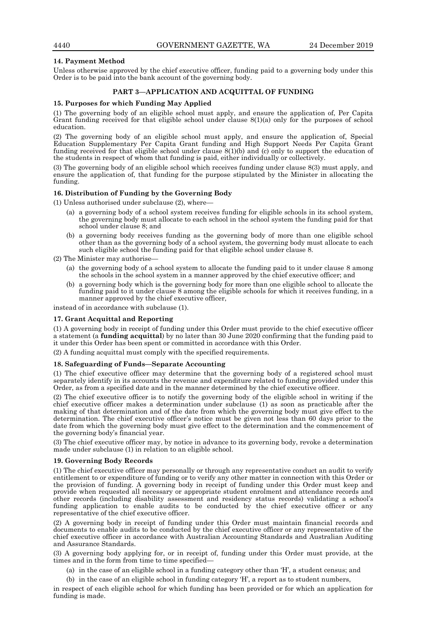### **14. Payment Method**

Unless otherwise approved by the chief executive officer, funding paid to a governing body under this Order is to be paid into the bank account of the governing body.

### **PART 3—APPLICATION AND ACQUITTAL OF FUNDING**

### **15. Purposes for which Funding May Applied**

(1) The governing body of an eligible school must apply, and ensure the application of, Per Capita Grant funding received for that eligible school under clause 8(1)(a) only for the purposes of school education.

(2) The governing body of an eligible school must apply, and ensure the application of, Special Education Supplementary Per Capita Grant funding and High Support Needs Per Capita Grant funding received for that eligible school under clause 8(1)(b) and (c) only to support the education of the students in respect of whom that funding is paid, either individually or collectively.

(3) The governing body of an eligible school which receives funding under clause 8(3) must apply, and ensure the application of, that funding for the purpose stipulated by the Minister in allocating the funding.

### **16. Distribution of Funding by the Governing Body**

(1) Unless authorised under subclause  $(2)$ , where-

- (a) a governing body of a school system receives funding for eligible schools in its school system, the governing body must allocate to each school in the school system the funding paid for that school under clause 8; and
- (b) a governing body receives funding as the governing body of more than one eligible school other than as the governing body of a school system, the governing body must allocate to each such eligible school the funding paid for that eligible school under clause 8.

(2) The Minister may authorise—

- (a) the governing body of a school system to allocate the funding paid to it under clause 8 among the schools in the school system in a manner approved by the chief executive officer; and
- (b) a governing body which is the governing body for more than one eligible school to allocate the funding paid to it under clause 8 among the eligible schools for which it receives funding, in a manner approved by the chief executive officer,

instead of in accordance with subclause (1).

### **17. Grant Acquittal and Reporting**

(1) A governing body in receipt of funding under this Order must provide to the chief executive officer a statement (a **funding acquittal**) by no later than 30 June 2020 confirming that the funding paid to it under this Order has been spent or committed in accordance with this Order.

(2) A funding acquittal must comply with the specified requirements.

### **18. Safeguarding of Funds—Separate Accounting**

(1) The chief executive officer may determine that the governing body of a registered school must separately identify in its accounts the revenue and expenditure related to funding provided under this Order, as from a specified date and in the manner determined by the chief executive officer.

(2) The chief executive officer is to notify the governing body of the eligible school in writing if the chief executive officer makes a determination under subclause (1) as soon as practicable after the making of that determination and of the date from which the governing body must give effect to the determination. The chief executive officer's notice must be given not less than 60 days prior to the date from which the governing body must give effect to the determination and the commencement of the governing body's financial year.

(3) The chief executive officer may, by notice in advance to its governing body, revoke a determination made under subclause (1) in relation to an eligible school.

### **19. Governing Body Records**

(1) The chief executive officer may personally or through any representative conduct an audit to verify entitlement to or expenditure of funding or to verify any other matter in connection with this Order or the provision of funding. A governing body in receipt of funding under this Order must keep and provide when requested all necessary or appropriate student enrolment and attendance records and other records (including disability assessment and residency status records) validating a school's funding application to enable audits to be conducted by the chief executive officer or any representative of the chief executive officer.

(2) A governing body in receipt of funding under this Order must maintain financial records and documents to enable audits to be conducted by the chief executive officer or any representative of the chief executive officer in accordance with Australian Accounting Standards and Australian Auditing and Assurance Standards.

(3) A governing body applying for, or in receipt of, funding under this Order must provide, at the times and in the form from time to time specified—

- (a) in the case of an eligible school in a funding category other than 'H', a student census; and
- (b) in the case of an eligible school in funding category 'H', a report as to student numbers,

in respect of each eligible school for which funding has been provided or for which an application for funding is made.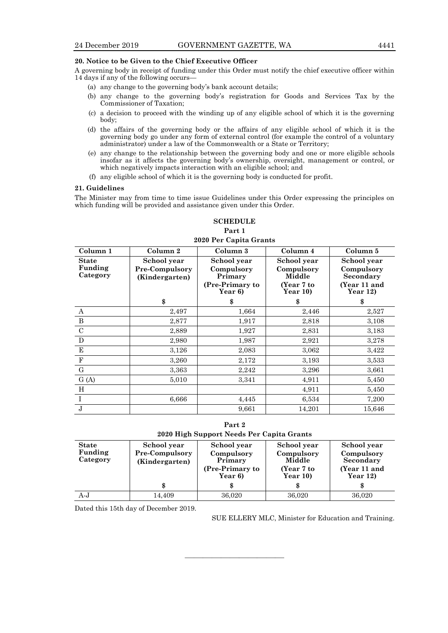### **20. Notice to be Given to the Chief Executive Officer**

A governing body in receipt of funding under this Order must notify the chief executive officer within 14 days if any of the following occurs—

- (a) any change to the governing body's bank account details;
- (b) any change to the governing body's registration for Goods and Services Tax by the Commissioner of Taxation;
- (c) a decision to proceed with the winding up of any eligible school of which it is the governing body;
- (d) the affairs of the governing body or the affairs of any eligible school of which it is the governing body go under any form of external control (for example the control of a voluntary administrator) under a law of the Commonwealth or a State or Territory;
- (e) any change to the relationship between the governing body and one or more eligible schools insofar as it affects the governing body's ownership, oversight, management or control, or which negatively impacts interaction with an eligible school; and
- (f) any eligible school of which it is the governing body is conducted for profit.

### **21. Guidelines**

The Minister may from time to time issue Guidelines under this Order expressing the principles on which funding will be provided and assistance given under this Order.

### **SCHEDULE Part 1 2020 Per Capita Grants**

### **Column 1 Column 2 Column 3 Column 4 Column 5 State Funding Category School year Pre-Compulsory (Kindergarten) School year Compulsory Primary (Pre-Primary to Year 6) School year Compulsory Middle (Year 7 to Year 10) School year Compulsory Secondary (Year 11 and Year 12) \$ \$ \$ \$** A 2,497 |  $1,664$  2,446 2,527 B 2,877 1,917 2,818 3,108 C 2,889 1,927 2,831 3,183 D 2,980 1,987 2,921 3,278 E  $3,126$   $2,083$   $3,062$   $3,422$ F  $3,260$   $2,172$   $3,193$   $3,533$ G and  $3,363$   $2,242$   $3,296$   $3,661$ G (A)  $5,010$   $3,341$   $4,911$   $5,450$ H  $4,911$  5,450 I 6,666 4,445 6,534 7,200  $J$  14,201 15,646

**Part 2 2020 High Support Needs Per Capita Grants**

| <b>State</b> | School year           | School year     | School year | School year  |
|--------------|-----------------------|-----------------|-------------|--------------|
| Funding      | <b>Pre-Compulsory</b> | Compulsory      | Compulsory  | Compulsory   |
| Category     | (Kindergarten)        | Primary         | Middle      | Secondary    |
|              |                       | (Pre-Primary to | (Year 7 to  | (Year 11 and |
|              |                       | Year 6)         | Year $10$ ) | Year $12$ )  |
|              | \$                    | æ               |             |              |
| A-J          | 14.409                | 36,020          | 36,020      | 36,020       |

———————————

Dated this 15th day of December 2019.

SUE ELLERY MLC, Minister for Education and Training.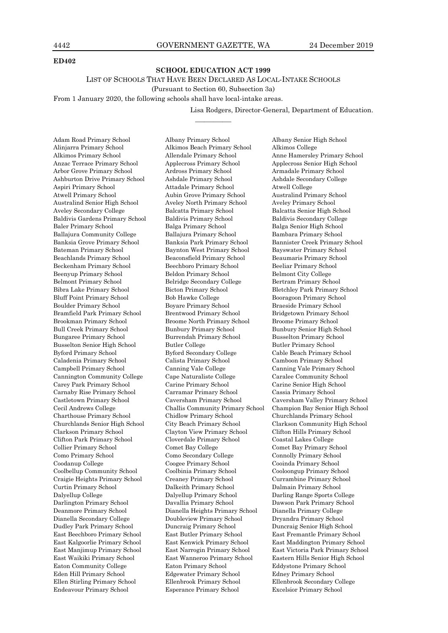### **ED402**

### **SCHOOL EDUCATION ACT 1999**

LIST OF SCHOOLS THAT HAVE BEEN DECLARED AS LOCAL-INTAKE SCHOOLS

(Pursuant to Section 60, Subsection 3a)

————

From 1 January 2020, the following schools shall have local-intake areas.

Lisa Rodgers, Director-General, Department of Education.

Adam Road Primary School Albany Primary School Albany Senior High School Alinjarra Primary School Alkimos Beach Primary School Alkimos College Alkimos Primary School Allendale Primary School Anne Hamersley Primary School Anzac Terrace Primary School Applecross Primary School Applecross Senior High School Arbor Grove Primary School Ardross Primary School Armadale Primary School Ashburton Drive Primary School Ashdale Primary School Ashdale Secondary College Aspiri Primary School Attadale Primary School Atwell College Atwell Primary School Aubin Grove Primary School Australind Primary School Australind Senior High School Aveley North Primary School Aveley Primary School Aveley Secondary College Balcatta Primary School Balcatta Senior High School Baldivis Gardens Primary School Baldivis Primary School Baldivis Secondary College Baler Primary School Balga Primary School Balga Senior High School Ballajura Community College Ballajura Primary School Bambara Primary School Banksia Grove Primary School Banksia Park Primary School Bannister Creek Primary School Bateman Primary School Baynton West Primary School Bayswater Primary School Beachlands Primary School Beaconsfield Primary School Beaumaris Primary School Beckenham Primary School Beechboro Primary School Beeliar Primary School Beenyup Primary School Beldon Primary School Belmont City College Belmont Primary School Belridge Secondary College Bertram Primary School Bibra Lake Primary School Bicton Primary School Bletchley Park Primary School Bluff Point Primary School Bob Hawke College Booragoon Primary School Boulder Primary School Boyare Primary School Braeside Primary School Bramfield Park Primary School Brentwood Primary School Bridgetown Primary School Brookman Primary School Broome North Primary School Broome Primary School Bull Creek Primary School Bunbury Primary School Bunbury Senior High School Bungaree Primary School Burrendah Primary School Busselton Primary School Busselton Senior High School Butler College Busselton Senior Busselton School Byford Secondary College Busselt<br>Busselton Byford Secondary College Cable Beach Primary School Byford Primary School Byford Secondary College Cable Beach Primary School Caladenia Primary School Calista Primary School Camboon Primary School Campbell Primary School Canning Vale College Canning Vale Primary School Cannington Community College Cape Naturaliste College Caralee Community School Carey Park Primary School Carine Primary School Carine Senior High School Carnaby Rise Primary School Carramar Primary School Cassia Primary School Charthouse Primary School Chidlow Primary School Churchlands Primary School Churchlands Senior High School City Beach Primary School Clarkson Community High School Clarkson Primary School Clayton View Primary School Clifton Hills Primary School Clifton Park Primary School Cloverdale Primary School Coastal Lakes College Collier Primary School Comet Bay College Comet Bay Primary School Como Primary School Como Secondary College Connolly Primary School Coodanup College Coogee Primary School Cooinda Primary School Coolbellup Community School Coolbinia Primary School Cooloongup Primary School Craigie Heights Primary School Creaney Primary School Currambine Primary School Curtin Primary School Dalkeith Primary School Dalmain Primary School Dalyellup College Dalyellup Primary School Darling Range Sports College Darlington Primary School Davallia Primary School Dawson Park Primary School Deanmore Primary School Dianella Heights Primary School Dianella Primary College Dianella Secondary College Doubleview Primary School Dryandra Primary School Dudley Park Primary School Duncraig Primary School Duncraig Senior High School East Beechboro Primary School East Butler Primary School East Fremantle Primary School East Kalgoorlie Primary School East Kenwick Primary School East Maddington Primary School East Waikiki Primary School East Wanneroo Primary School Eastern Hills Senior High School Eaton Community College Eaton Primary School Eddystone Primary School Eden Hill Primary School Edgewater Primary School Edney Primary School Ellen Stirling Primary School Ellenbrook Primary School Ellenbrook Secondary College

Castletown Primary School Caversham Primary School Caversham Valley Primary School Cecil Andrews College Challis Community Primary School Champion Bay Senior High School East Manjimup Primary School East Narrogin Primary School East Victoria Park Primary School Endeavour Primary School Esperance Primary School Excelsior Primary School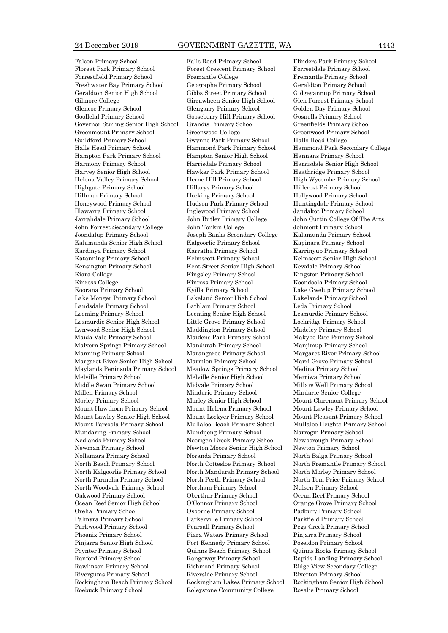Floreat Park Primary School Forest Crescent Primary School Forrestdale Primary School Forrestfield Primary School Fremantle College Fremantle Primary School Freshwater Bay Primary School Geographe Primary School Geraldton Primary School Geraldton Senior High School Gibbs Street Primary School Gidgegannup Primary School Gilmore College Girrawheen Senior High School Glen Forrest Primary School Glencoe Primary School Glengarry Primary School Golden Bay Primary School Goollelal Primary School Gooseberry Hill Primary School Gosnells Primary School Governor Stirling Senior High School Grandis Primary School Greenfields Primary School Greenmount Primary School Greenwood College Greenwood Primary School Guildford Primary School Gwynne Park Primary School Halls Head College Halls Head Primary School Hammond Park Primary School Hammond Park Secondary College Hampton Park Primary School Hampton Senior High School Hannans Primary School Harmony Primary School Harrisdale Primary School Harrisdale Senior High School Harvey Senior High School Hawker Park Primary School Heathridge Primary School Helena Valley Primary School Herne Hill Primary School High Wycombe Primary School Highgate Primary School Hillarys Primary School Hillcrest Primary School Hillman Primary School Hocking Primary School Hollywood Primary School Honeywood Primary School Hudson Park Primary School Huntingdale Primary School Illawarra Primary School Inglewood Primary School Jandakot Primary School Jarrahdale Primary School John Butler Primary College John Curtin College Of The Arts John Forrest Secondary College John Tonkin College Jolimont Primary School Joondalup Primary School Joseph Banks Secondary College Kalamunda Primary School Kalamunda Senior High School Kalgoorlie Primary School Kapinara Primary School Kardinya Primary School Karratha Primary School Karrinyup Primary School Katanning Primary School Kelmscott Primary School Kelmscott Senior High School Kensington Primary School Kent Street Senior High School Kewdale Primary School Kiara College Kingsley Primary School Kingston Primary School Kingston Primary School Kinross College Kinross Primary School Koondoola Primary School Koondoola Primary School Koorana Primary School Kyilla Primary School Lake Gwelup Primary School Lake Monger Primary School Lakeland Senior High School Lakelands Primary School Landsdale Primary School Lathlain Primary School Leda Primary School Leeming Primary School Leeming Senior High School Lesmurdie Primary School Lesmurdie Senior High School Little Grove Primary School Lockridge Primary School Lynwood Senior High School Maddington Primary School Madeley Primary School Maida Vale Primary School Maidens Park Primary School Makybe Rise Primary School Malvern Springs Primary School Mandurah Primary School Manjimup Primary School Manning Primary School Marangaroo Primary School Margaret River Primary School Margaret River Senior High School Marmion Primary School Marri Grove Primary School Maylands Peninsula Primary School Meadow Springs Primary School Medina Primary School Melville Primary School Melville Senior High School Merriwa Primary School Middle Swan Primary School Midvale Primary School Millars Well Primary School Millen Primary School Mindarie Primary School Mindarie Senior College Morley Primary School Morley Senior High School Mount Claremont Primary School Mount Hawthorn Primary School Mount Helena Primary School Mount Lawley Primary School Mount Lawley Senior High School Mount Lockyer Primary School Mount Pleasant Primary School Mount Tarcoola Primary School Mullaloo Beach Primary School Mullaloo Heights Primary School Mundaring Primary School Mundijong Primary School Narrogin Primary School Nedlands Primary School Neerigen Brook Primary School Newborough Primary School Newman Primary School Newton Moore Senior High School Newton Primary School Nollamara Primary School Noranda Primary School North Balga Primary School North Beach Primary School North Cottesloe Primary School North Fremantle Primary School North Kalgoorlie Primary School North Mandurah Primary School North Morley Primary School North Parmelia Primary School North Perth Primary School North Tom Price Primary School North Woodvale Primary School Northam Primary School Nulsen Primary School Oakwood Primary School Oberthur Primary School Ocean Reef Primary School Ocean Reef Senior High School O'Connor Primary School Orange Grove Primary School Orelia Primary School Osborne Primary School Padbury Primary School Palmyra Primary School Parkerville Primary School Parkfield Primary School Parkwood Primary School Pearsall Primary School Pegs Creek Primary School Phoenix Primary School Piara Waters Primary School Pinjarra Primary School Pinjarra Senior High School Port Kennedy Primary School Poseidon Primary School Poynter Primary School Quinns Beach Primary School Quinns Rocks Primary School Ranford Primary School Rangeway Primary School Rapids Landing Primary School Rawlinson Primary School Richmond Primary School Ridge View Secondary College Rivergums Primary School Riverside Primary School Riverton Primary School Rockingham Beach Primary School Rockingham Lakes Primary School Rockingham Senior High School

Roebuck Primary School Roleystone Community College Rosalie Primary School

Falcon Primary School Falls Road Primary School Flinders Park Primary School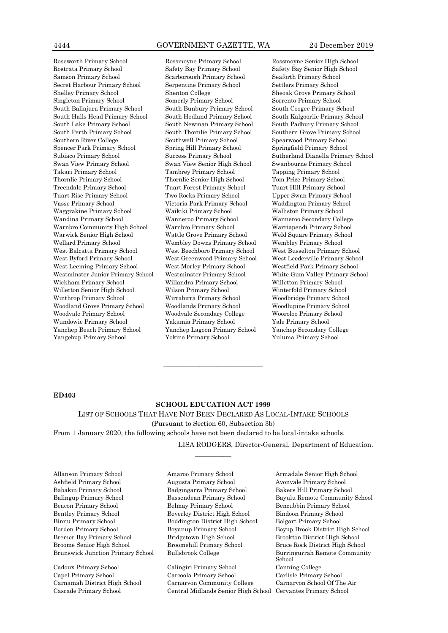Rostrata Primary School Safety Bay Primary School Safety Bay Senior High School Samson Primary School Scarborough Primary School Seaforth Primary School Secret Harbour Primary School Serpentine Primary School Settlers Primary School Shelley Primary School Shenton College Sheoak Grove Primary School Singleton Primary School Somerly Primary School Sorrento Primary School South Ballajura Primary School South Bunbury Primary School South Coogee Primary School South Halls Head Primary School South Hedland Primary School South Kalgoorlie Primary School South Lake Primary School South Newman Primary School South Padbury Primary School South Perth Primary School South Thornlie Primary School Southern Grove Primary School Southern River College Southwell Primary School Spearwood Primary School Spencer Park Primary School Spring Hill Primary School Springfield Primary School Swan View Primary School Swan View Senior High School Swanbourne Primary School Takari Primary School Tambrey Primary School Tapping Primary School Thornlie Primary School Thornlie Senior High School Tom Price Primary School Treendale Primary School Tuart Forest Primary School Tuart Hill Primary School Tuart Rise Primary School Two Rocks Primary School Upper Swan Primary School Vasse Primary School Victoria Park Primary School Waddington Primary School Waggrakine Primary School Waikiki Primary School Walliston Primary School Wandina Primary School Wanneroo Primary School Wanneroo Secondary College Warnbro Community High School Warnbro Primary School Warriapendi Primary School Warwick Senior High School Wattle Grove Primary School Weld Square Primary School Wellard Primary School Wembley Downs Primary School Wembley Primary School West Balcatta Primary School West Beechboro Primary School West Busselton Primary School West Byford Primary School West Greenwood Primary School West Leederville Primary School West Leeming Primary School West Morley Primary School Westfield Park Primary School Westminster Junior Primary School Westminster Primary School White Gum Valley Primary School Wickham Primary School Willandra Primary School Willetton Primary School Willetton Senior High School Wilson Primary School Winterfold Primary School Winthrop Primary School Wirrabirra Primary School Woodbridge Primary School Woodland Grove Primary School Woodlands Primary School Woodlupine Primary School Woodvale Primary School Woodvale Secondary College Wooroloo Primary School Wundowie Primary School Yakamia Primary School Yale Primary School Yanchep Beach Primary School Yanchep Lagoon Primary School Yanchep Secondary College Yangebup Primary School Yokine Primary School Yuluma Primary School

Roseworth Primary School Rossmoyne Primary School Rossmoyne Senior High School Subiaco Primary School Success Primary School Sutherland Dianella Primary School

### **ED403**

### **SCHOOL EDUCATION ACT 1999**

————

———————————

LIST OF SCHOOLS THAT HAVE NOT BEEN DECLARED AS LOCAL-INTAKE SCHOOLS (Pursuant to Section 60, Subsection 3b) From 1 January 2020, the following schools have not been declared to be local-intake schools.

LISA RODGERS, Director-General, Department of Education.

Allanson Primary School Amaroo Primary School Armadale Senior High School Ashfield Primary School Augusta Primary School Avonvale Primary School Babakin Primary School Badgingarra Primary School Bakers Hill Primary School Beacon Primary School Belmay Primary School Bencubbin Primary School Bentley Primary School Beverley District High School Bindoon Primary School Binnu Primary School Boddington District High School Bolgart Primary School Borden Primary School Boyanup Primary School Boyup Brook District High School Bremer Bay Primary School Bridgetown High School Brookton District High School Broome Senior High School Broomehill Primary School Bruce Rock District High School

Cadoux Primary School Calingiri Primary School Canning College Capel Primary School Carcoola Primary School Carlisle Primary School Carnamah District High School Carnarvon Community College Carnarvon School Of The Air Cascade Primary School Central Midlands Senior High School Cervantes Primary School

Balingup Primary School Bassendean Primary School Bayulu Remote Community School Brunswick Junction Primary School Bullsbrook College Burringurrah Remote Community School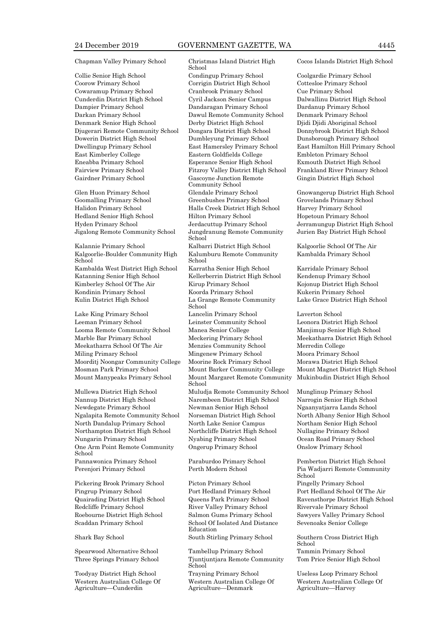### Chapman Valley Primary School Christmas Island District High

Coorow Primary School Corrigin District High School Cottesloe Primary School Cowaramup Primary School Cranbrook Primary School Cue Primary School Cunderdin District High School Cyril Jackson Senior Campus Dalwallinu District High School Dampier Primary School Dandaragan Primary School Dardanup Primary School Darkan Primary School Dawul Remote Community School Denmark Primary School Denmark Senior High School Derby District High School Djidi Djidi Aboriginal School Djugerari Remote Community School Dongara District High School Donnybrook District High School Dowerin District High School Dumbleyung Primary School Dunsborough Primary School Dwellingup Primary School East Hamersley Primary School East Hamilton Hill Primary School East Kimberley College Eastern Goldfields College Embleton Primary School Eneabba Primary School Esperance Senior High School Exmouth District High School Fairview Primary School Fitzroy Valley District High School Frankland River Primary School Gairdner Primary School Gascoyne Junction Remote

Jigalong Remote Community School Jungdranung Remote Community

Kalgoorlie-Boulder Community High School Kambalda West District High School Karratha Senior High School Karridale Primary School Katanning Senior High School Kellerberrin District High School Kendenup Primary School Kimberley School Of The Air Kirup Primary School Kojonup District High School Kondinin Primary School Koorda Primary School Kukerin Primary School Kulin District High School La Grange Remote Community

Leeman Primary School Leinster Community School Leonora District High School Looma Remote Community School Manea Senior College Manjimup Senior High School Marble Bar Primary School Meckering Primary School Meekatharra District High School Meekatharra School Of The Air Menzies Community School Merredin College Miling Primary School Mingenew Primary School Moora Primary School Moorditj Noongar Community College Moorine Rock Primary School Morawa District High School Mosman Park Primary School Mount Barker Community College Mount Magnet District High School Mount Manypeaks Primary School Mount Margaret Remote Community

Nannup District High School Narembeen District High School Narrogin Senior High School Newdegate Primary School Newman Senior High School Ngaanyatjarra Lands School Ngalapita Remote Community School Norseman District High School North Albany Senior High School North Dandalup Primary School North Lake Senior Campus Northam Senior High School Northampton District High School Northcliffe District High School Nullagine Primary School Nungarin Primary School Nyabing Primary School Ocean Road Primary School One Arm Point Remote Community School Pannawonica Primary School Paraburdoo Primary School Pemberton District High School Perenjori Primary School Perth Modern School Pia Wadjarri Remote Community

Pickering Brook Primary School Picton Primary School Pingelly Primary School Pingrup Primary School Port Hedland Primary School Port Hedland School Of The Air Redcliffe Primary School River Valley Primary School Rivervale Primary School Roebourne District High School Salmon Gums Primary School Sawyers Valley Primary School Scaddan Primary School School School Of Isolated And Distance

Western Australian College Of Agriculture—Cunderdin

School

Collie Senior High School Condingup Primary School Coolgardie Primary School Community School Glen Huon Primary School Glendale Primary School Gnowangerup District High School Goomalling Primary School Greenbushes Primary School Grovelands Primary School Halidon Primary School Halls Creek District High School Harvey Primary School Hedland Senior High School Hilton Primary School Hopetoun Primary School Hyden Primary School Jerdacuttup Primary School Jerramungup District High School School Kalannie Primary School Kalbarri District High School Kalgoorlie School Of The Air Kalumburu Remote Community School School Lake King Primary School Lancelin Primary School Laverton School School Mullewa District High School Muludja Remote Community School Munglinup Primary School Ongerup Primary School Onslow Primary School

Education Shark Bay School South Stirling Primary School Southern Cross District High

Spearwood Alternative School Tambellup Primary School Tammin Primary School Three Springs Primary School Tjuntjuntjara Remote Community School Toodyay District High School Trayning Primary School Useless Loop Primary School Western Australian College Of Agriculture—Denmark

Cocos Islands District High School

Gingin District High School

Jurien Bay District High School

Kambalda Primary School

Lake Grace District High School

Mukinbudin District High School

School Quairading District High School Queens Park Primary School Ravensthorpe District High School Sevenoaks Senior College

> School Tom Price Senior High School

Western Australian College Of Agriculture—Harvey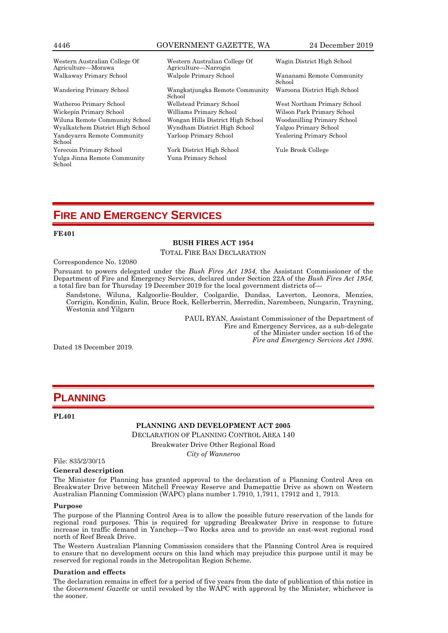### 4446 GOVERNMENT GAZETTE, WA 24 December 2019

Western Australian College Of Agriculture—Morawa

Wiluna Remote Community School Wongan Hills District High School Woodanilling Primary School Wyalkatchem District High School Yandeyarra Remote Community School Yerecoin Primary School York District High School Yule Brook College Yulga Jinna Remote Community School

Western Australian College Of Agriculture—Narrogin Walkaway Primary School Walpole Primary School Wananami Remote Community

Wandering Primary School Wangkatjungka Remote Community School Watheroo Primary School Wellstead Primary School West Northam Primary School Yarloop Primary School Yealering Primary School

Yuna Primary School

Wagin District High School

School Waroona District High School

Wilson Park Primary School

# **FIRE AND EMERGENCY SERVICES**

### **FE401**

## **BUSH FIRES ACT 1954**

TOTAL FIRE BAN DECLARATION

Correspondence No. 12080

Pursuant to powers delegated under the *Bush Fires Act 1954,* the Assistant Commissioner of the Department of Fire and Emergency Services, declared under Section 22A of the *Bush Fires Act 1954,*  a total fire ban for Thursday 19 December 2019 for the local government districts of—

Sandstone, Wiluna, Kalgoorlie-Boulder, Coolgardie, Dundas, Laverton, Leonora, Menzies, Corrigin, Kondinin, Kulin, Bruce Rock, Kellerberrin, Merredin, Narembeen, Nungarin, Trayning, Westonia and Yilgarn

> PAUL RYAN, Assistant Commissioner of the Department of Fire and Emergency Services, as a sub-delegate of the Minister under section 16 of the *Fire and Emergency Services Act 1998.*

Dated 18 December 2019.

# **PLANNING**

### **PL401**

**PLANNING AND DEVELOPMENT ACT 2005**

DECLARATION OF PLANNING CONTROL AREA 140

Breakwater Drive Other Regional Road

*City of Wanneroo*

File: 835/2/30/15

### **General description**

The Minister for Planning has granted approval to the declaration of a Planning Control Area on Breakwater Drive between Mitchell Freeway Reserve and Damepattie Drive as shown on Western Australian Planning Commission (WAPC) plans number 1.7910, 1,7911, 17912 and 1, 7913.

### **Purpose**

The purpose of the Planning Control Area is to allow the possible future reservation of the lands for regional road purposes. This is required for upgrading Breakwater Drive in response to future increase in traffic demand in Yanchep—Two Rocks area and to provide an east-west regional road north of Reef Break Drive.

The Western Australian Planning Commission considers that the Planning Control Area is required to ensure that no development occurs on this land which may prejudice this purpose until it may be reserved for regional roads in the Metropolitan Region Scheme.

### **Duration and effects**

The declaration remains in effect for a period of five years from the date of publication of this notice in the *Government Gazette* or until revoked by the WAPC with approval by the Minister, whichever is the sooner.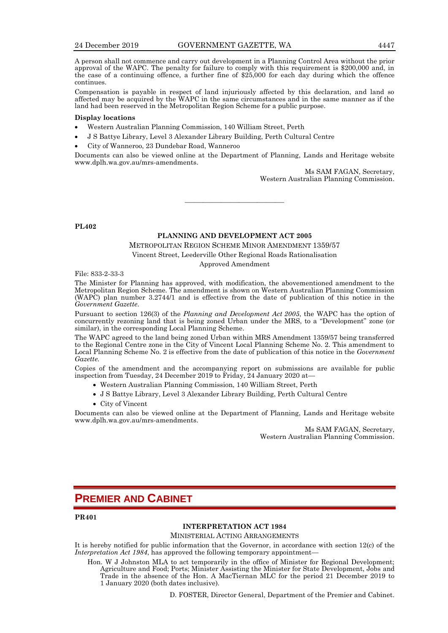A person shall not commence and carry out development in a Planning Control Area without the prior approval of the WAPC. The penalty for failure to comply with this requirement is  $$200,000$  and, in the case of a continuing offence, a further fine of \$25,000 for each day during which the offence continues.

Compensation is payable in respect of land injuriously affected by this declaration, and land so affected may be acquired by the WAPC in the same circumstances and in the same manner as if the land had been reserved in the Metropolitan Region Scheme for a public purpose.

### **Display locations**

- Western Australian Planning Commission, 140 William Street, Perth
- J S Battye Library, Level 3 Alexander Library Building, Perth Cultural Centre
- City of Wanneroo, 23 Dundebar Road, Wanneroo

Documents can also be viewed online at the Department of Planning, Lands and Heritage website www.dplh.wa.gov.au/mrs-amendments.

> Ms SAM FAGAN, Secretary, Western Australian Planning Commission.

———————————

**PL402**

### **PLANNING AND DEVELOPMENT ACT 2005**

METROPOLITAN REGION SCHEME MINOR AMENDMENT 1359/57

Vincent Street, Leederville Other Regional Roads Rationalisation

Approved Amendment

File: 833-2-33-3

The Minister for Planning has approved, with modification, the abovementioned amendment to the Metropolitan Region Scheme. The amendment is shown on Western Australian Planning Commission (WAPC) plan number 3.2744/1 and is effective from the date of publication of this notice in the *Government Gazette*.

Pursuant to section 126(3) of the *Planning and Development Act 2005*, the WAPC has the option of concurrently rezoning land that is being zoned Urban under the MRS, to a "Development" zone (or similar), in the corresponding Local Planning Scheme.

The WAPC agreed to the land being zoned Urban within MRS Amendment 1359/57 being transferred to the Regional Centre zone in the City of Vincent Local Planning Scheme No. 2. This amendment to Local Planning Scheme No. 2 is effective from the date of publication of this notice in the *Government Gazette.*

Copies of the amendment and the accompanying report on submissions are available for public inspection from Tuesday, 24 December 2019 to Friday, 24 January 2020 at—

- Western Australian Planning Commission, 140 William Street, Perth
- J S Battye Library, Level 3 Alexander Library Building, Perth Cultural Centre
- City of Vincent

Documents can also be viewed online at the Department of Planning, Lands and Heritage website www.dplh.wa.gov.au/mrs-amendments.

> Ms SAM FAGAN, Secretary, Western Australian Planning Commission.

# **PREMIER AND CABINET**

**PR401**

### **INTERPRETATION ACT 1984**

MINISTERIAL ACTING ARRANGEMENTS

It is hereby notified for public information that the Governor, in accordance with section 12(c) of the *Interpretation Act 1984*, has approved the following temporary appointment—

Hon. W J Johnston MLA to act temporarily in the office of Minister for Regional Development; Agriculture and Food; Ports; Minister Assisting the Minister for State Development, Jobs and Trade in the absence of the Hon. A MacTiernan MLC for the period 21 December 2019 to 1 January 2020 (both dates inclusive).

D. FOSTER, Director General, Department of the Premier and Cabinet.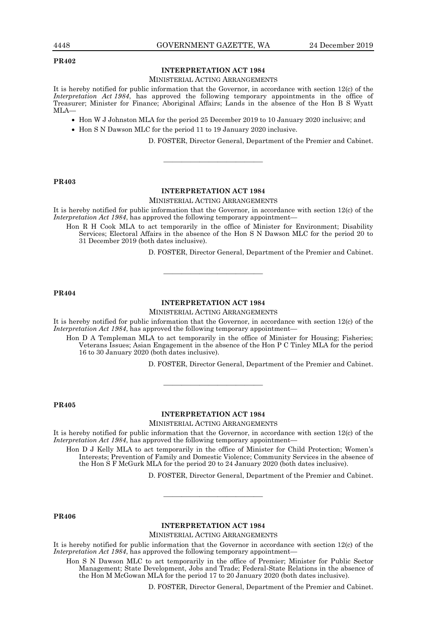### **PR402**

### **INTERPRETATION ACT 1984**

### MINISTERIAL ACTING ARRANGEMENTS

It is hereby notified for public information that the Governor, in accordance with section 12(c) of the *Interpretation Act 1984*, has approved the following temporary appointments in the office of Treasurer; Minister for Finance; Aboriginal Affairs; Lands in the absence of the Hon B S Wyatt MLA—

- Hon W J Johnston MLA for the period 25 December 2019 to 10 January 2020 inclusive; and
- Hon S N Dawson MLC for the period 11 to 19 January 2020 inclusive.

D. FOSTER, Director General, Department of the Premier and Cabinet.

### **PR403**

### **INTERPRETATION ACT 1984**

 $\frac{1}{\sqrt{2}}$  ,  $\frac{1}{\sqrt{2}}$  ,  $\frac{1}{\sqrt{2}}$  ,  $\frac{1}{\sqrt{2}}$  ,  $\frac{1}{\sqrt{2}}$  ,  $\frac{1}{\sqrt{2}}$  ,  $\frac{1}{\sqrt{2}}$  ,  $\frac{1}{\sqrt{2}}$  ,  $\frac{1}{\sqrt{2}}$  ,  $\frac{1}{\sqrt{2}}$  ,  $\frac{1}{\sqrt{2}}$  ,  $\frac{1}{\sqrt{2}}$  ,  $\frac{1}{\sqrt{2}}$  ,  $\frac{1}{\sqrt{2}}$  ,  $\frac{1}{\sqrt{2}}$ 

### MINISTERIAL ACTING ARRANGEMENTS

It is hereby notified for public information that the Governor, in accordance with section 12(c) of the *Interpretation Act 1984*, has approved the following temporary appointment-

Hon R H Cook MLA to act temporarily in the office of Minister for Environment; Disability Services; Electoral Affairs in the absence of the Hon S N Dawson MLC for the period 20 to 31 December 2019 (both dates inclusive).

D. FOSTER, Director General, Department of the Premier and Cabinet.

### **PR404**

### **INTERPRETATION ACT 1984**

———————————

### MINISTERIAL ACTING ARRANGEMENTS

It is hereby notified for public information that the Governor, in accordance with section 12(c) of the *Interpretation Act 1984*, has approved the following temporary appointment–

Hon D A Templeman MLA to act temporarily in the office of Minister for Housing; Fisheries; Veterans Issues; Asian Engagement in the absence of the Hon P C Tinley MLA for the period 16 to 30 January 2020 (both dates inclusive).

D. FOSTER, Director General, Department of the Premier and Cabinet.

### **PR405**

### **INTERPRETATION ACT 1984**

———————————

MINISTERIAL ACTING ARRANGEMENTS

It is hereby notified for public information that the Governor, in accordance with section 12(c) of the *Interpretation Act 1984*, has approved the following temporary appointment—

Hon D J Kelly MLA to act temporarily in the office of Minister for Child Protection; Women's Interests; Prevention of Family and Domestic Violence; Community Services in the absence of the Hon S F McGurk MLA for the period 20 to 24 January 2020 (both dates inclusive).

D. FOSTER, Director General, Department of the Premier and Cabinet.

### **PR406**

### **INTERPRETATION ACT 1984**

————————————————————

MINISTERIAL ACTING ARRANGEMENTS

It is hereby notified for public information that the Governor in accordance with section 12(c) of the *Interpretation Act 1984*, has approved the following temporary appointment—

Hon S N Dawson MLC to act temporarily in the office of Premier; Minister for Public Sector Management; State Development, Jobs and Trade; Federal-State Relations in the absence of the Hon M McGowan MLA for the period 17 to 20 January 2020 (both dates inclusive).

D. FOSTER, Director General, Department of the Premier and Cabinet.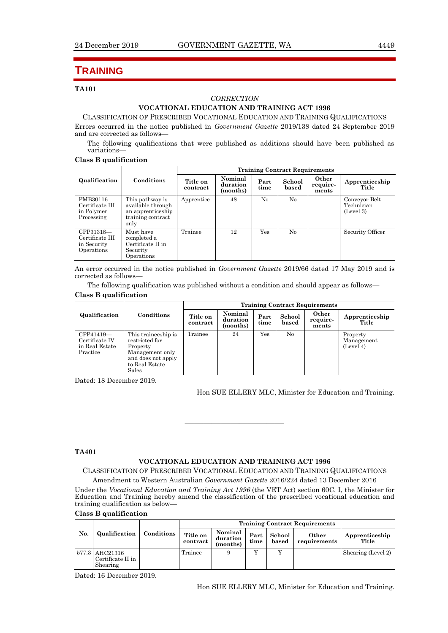# **TRAINING**

### **TA101**

### *CORRECTION*

# **VOCATIONAL EDUCATION AND TRAINING ACT 1996**

CLASSIFICATION OF PRESCRIBED VOCATIONAL EDUCATION AND TRAINING QUALIFICATIONS Errors occurred in the notice published in *Government Gazette* 2019/138 dated 24 September 2019 and are corrected as follows—

The following qualifications that were published as additions should have been published as variations—

### **Class B qualification**

|                                                           |                                                                                        | <b>Training Contract Requirements</b> |                                 |              |                 |                            |                                          |
|-----------------------------------------------------------|----------------------------------------------------------------------------------------|---------------------------------------|---------------------------------|--------------|-----------------|----------------------------|------------------------------------------|
| Qualification                                             | Conditions                                                                             | Title on<br>contract                  | Nominal<br>duration<br>(months) | Part<br>time | School<br>based | Other<br>require-<br>ments | Apprenticeship<br>Title                  |
| PMB30116<br>Certificate III<br>in Polymer<br>Processing   | This pathway is<br>available through<br>an apprenticeship<br>training contract<br>only | Apprentice                            | 48                              | $\rm No$     | No              |                            | Conveyor Belt<br>Technician<br>(Level 3) |
| CPP31318-<br>Certificate III<br>in Security<br>Operations | Must have<br>completed a<br>Certificate II in<br>Security<br>Operations                | Trainee                               | 12                              | Yes          | N <sub>0</sub>  |                            | Security Officer                         |

An error occurred in the notice published in *Government Gazette* 2019/66 dated 17 May 2019 and is corrected as follows—

The following qualification was published without a condition and should appear as follows— **Class B qualification**

|                                                           |                                                                                                                       | <b>Training Contract Requirements</b> |                                 |              |                 |                            |                                     |
|-----------------------------------------------------------|-----------------------------------------------------------------------------------------------------------------------|---------------------------------------|---------------------------------|--------------|-----------------|----------------------------|-------------------------------------|
| Qualification                                             | Conditions                                                                                                            | Title on<br>contract                  | Nominal<br>duration<br>(months) | Part<br>time | School<br>based | Other<br>require-<br>ments | Apprenticeship<br>Title             |
| CPP41419-<br>Certificate IV<br>in Real Estate<br>Practice | This traineeship is<br>restricted for<br>Property<br>Management only<br>and does not apply<br>to Real Estate<br>Sales | Trainee                               | 24                              | Yes          | $\rm No$        |                            | Property<br>Management<br>(Level 4) |

Dated: 18 December 2019.

Hon SUE ELLERY MLC, Minister for Education and Training.

### **TA401**

### **VOCATIONAL EDUCATION AND TRAINING ACT 1996**

———————————

CLASSIFICATION OF PRESCRIBED VOCATIONAL EDUCATION AND TRAINING QUALIFICATIONS Amendment to Western Australian *Government Gazette* 2016/224 dated 13 December 2016

Under the *Vocational Education and Training Act 1996* (the VET Act) section 60C, I, the Minister for Education and Training hereby amend the classification of the prescribed vocational education and training qualification as below—

# **Class B qualification**

|     |                                                 |            | <b>Training Contract Requirements</b> |                                 |              |                 |                       |                         |
|-----|-------------------------------------------------|------------|---------------------------------------|---------------------------------|--------------|-----------------|-----------------------|-------------------------|
| No. | Qualification                                   | Conditions | Title on<br>contract                  | Nominal<br>duration<br>(months) | Part<br>time | School<br>based | Other<br>requirements | Apprenticeship<br>Title |
|     | 577.3 AHC21316<br>Certificate II in<br>Shearing |            | Trainee                               |                                 | v            |                 |                       | Shearing (Level 2)      |

Dated: 16 December 2019.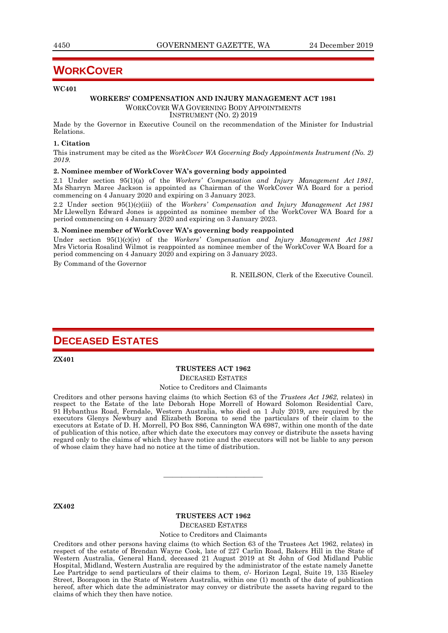# **WORKCOVER**

### **WC401**

### **WORKERS' COMPENSATION AND INJURY MANAGEMENT ACT 1981** WORKCOVER WA GOVERNING BODY APPOINTMENTS

INSTRUMENT (NO. 2) 2019

Made by the Governor in Executive Council on the recommendation of the Minister for Industrial Relations.

### **1. Citation**

This instrument may be cited as the *WorkCover WA Governing Body Appointments Instrument (No. 2) 2019*.

### **2. Nominee member of WorkCover WA's governing body appointed**

2.1 Under section 95(1)(a) of the *Workers' Compensation and Injury Management Act 1981*, Ms Sharryn Maree Jackson is appointed as Chairman of the WorkCover WA Board for a period commencing on 4 January 2020 and expiring on 3 January 2023.

2.2 Under section 95(1)(c)(iii) of the *Workers' Compensation and Injury Management Act 1981* Mr Llewellyn Edward Jones is appointed as nominee member of the WorkCover WA Board for a period commencing on 4 January 2020 and expiring on 3 January 2023.

### **3. Nominee member of WorkCover WA's governing body reappointed**

Under section 95(1)(c)(iv) of the *Workers' Compensation and Injury Management Act 1981* Mrs Victoria Rosalind Wilmot is reappointed as nominee member of the WorkCover WA Board for a period commencing on 4 January 2020 and expiring on 3 January 2023.

By Command of the Governor

R. NEILSON, Clerk of the Executive Council.

# **DECEASED ESTATES**

**ZX401**

## **TRUSTEES ACT 1962**

DECEASED ESTATES

### Notice to Creditors and Claimants

Creditors and other persons having claims (to which Section 63 of the *Trustees Act 1962*, relates) in respect to the Estate of the late Deborah Hope Morrell of Howard Solomon Residential Care, 91 Hybanthus Road, Ferndale, Western Australia, who died on 1 July 2019, are required by the executors Glenys Newbury and Elizabeth Borona to send the particulars of their claim to the executors at Estate of D. H. Morrell, PO Box 886, Cannington WA 6987, within one month of the date of publication of this notice, after which date the executors may convey or distribute the assets having regard only to the claims of which they have notice and the executors will not be liable to any person of whose claim they have had no notice at the time of distribution.

**ZX402**

# **TRUSTEES ACT 1962**

———————————

DECEASED ESTATES

Notice to Creditors and Claimants

Creditors and other persons having claims (to which Section 63 of the Trustees Act 1962, relates) in respect of the estate of Brendan Wayne Cook, late of 227 Carlin Road, Bakers Hill in the State of Western Australia, General Hand, deceased 21 August 2019 at St John of God Midland Public Hospital, Midland, Western Australia are required by the administrator of the estate namely Janette Lee Partridge to send particulars of their claims to them, c/- Horizon Legal, Suite 19, 135 Riseley Street, Booragoon in the State of Western Australia, within one (1) month of the date of publication hereof, after which date the administrator may convey or distribute the assets having regard to the claims of which they then have notice.